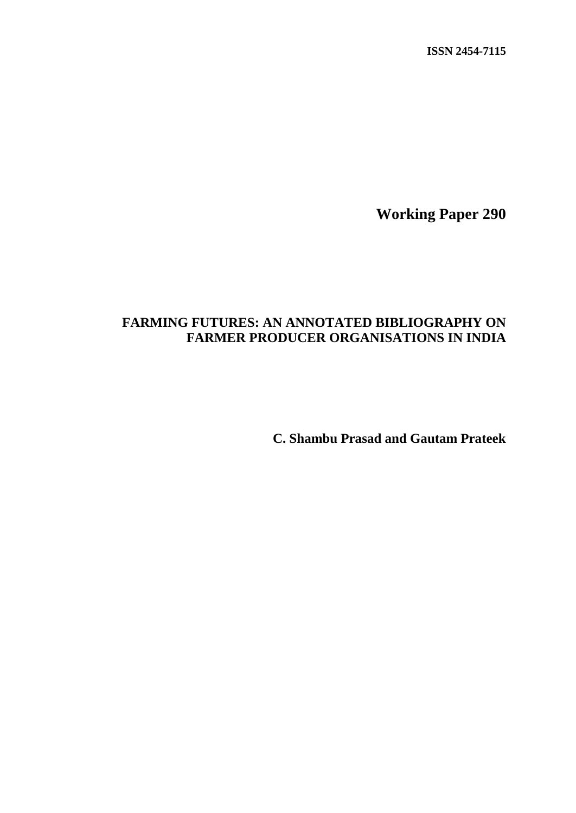**ISSN 2454-7115**

**Working Paper 290**

# **FARMING FUTURES: AN ANNOTATED BIBLIOGRAPHY ON FARMER PRODUCER ORGANISATIONS IN INDIA**

**C. Shambu Prasad and Gautam Prateek**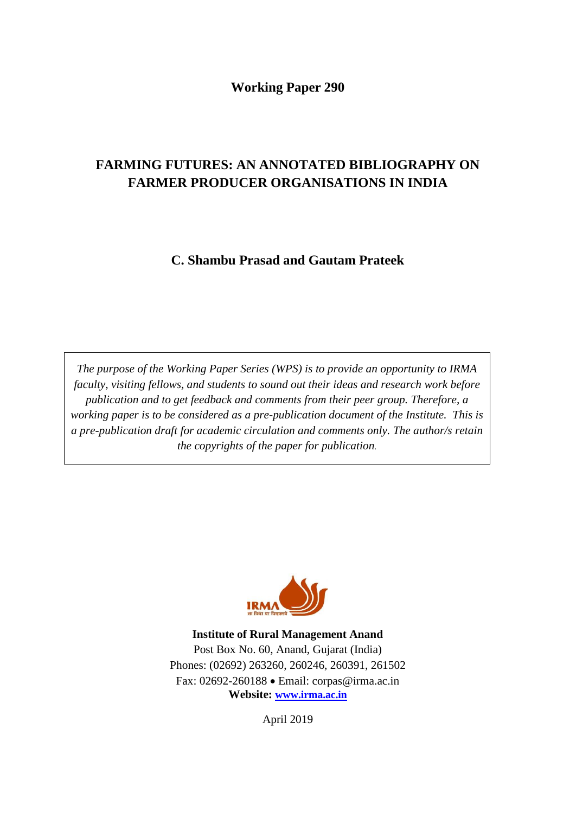# **Working Paper 290**

# **FARMING FUTURES: AN ANNOTATED BIBLIOGRAPHY ON FARMER PRODUCER ORGANISATIONS IN INDIA**

**C. Shambu Prasad and Gautam Prateek**

*The purpose of the Working Paper Series (WPS) is to provide an opportunity to IRMA faculty, visiting fellows, and students to sound out their ideas and research work before publication and to get feedback and comments from their peer group. Therefore, a working paper is to be considered as a pre-publication document of the Institute. This is a pre-publication draft for academic circulation and comments only. The author/s retain the copyrights of the paper for publication.*



**Institute of Rural Management Anand** Post Box No. 60, Anand, Gujarat (India) Phones: (02692) 263260, 260246, 260391, 261502 Fax: 02692-260188 Email: corpas@irma.ac.in **Website: [www.irma.ac.in](http://www.irma.ac.in/)**

April 2019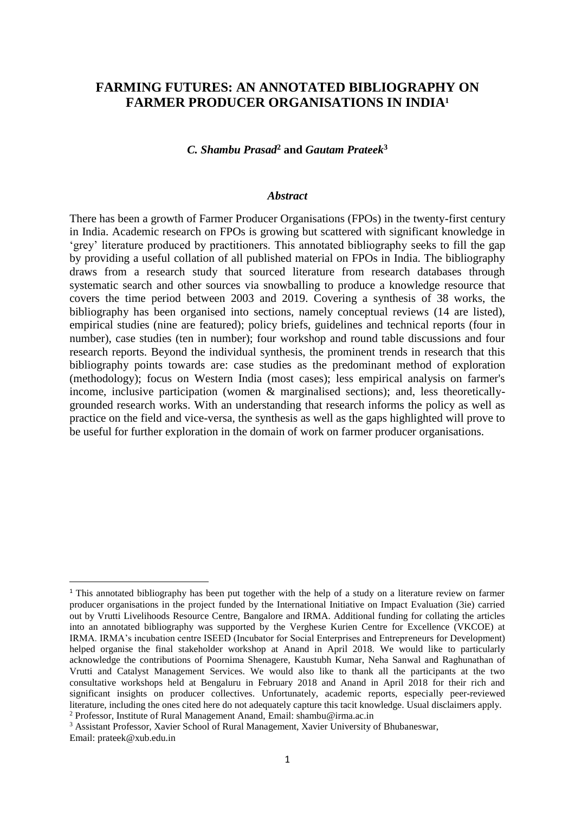# **FARMING FUTURES: AN ANNOTATED BIBLIOGRAPHY ON FARMER PRODUCER ORGANISATIONS IN INDIA<sup>1</sup>**

#### *C. Shambu Prasad***<sup>2</sup> and** *Gautam Prateek***<sup>3</sup>**

#### *Abstract*

There has been a growth of Farmer Producer Organisations (FPOs) in the twenty-first century in India. Academic research on FPOs is growing but scattered with significant knowledge in 'grey' literature produced by practitioners. This annotated bibliography seeks to fill the gap by providing a useful collation of all published material on FPOs in India. The bibliography draws from a research study that sourced literature from research databases through systematic search and other sources via snowballing to produce a knowledge resource that covers the time period between 2003 and 2019. Covering a synthesis of 38 works, the bibliography has been organised into sections, namely conceptual reviews (14 are listed), empirical studies (nine are featured); policy briefs, guidelines and technical reports (four in number), case studies (ten in number); four workshop and round table discussions and four research reports. Beyond the individual synthesis, the prominent trends in research that this bibliography points towards are: case studies as the predominant method of exploration (methodology); focus on Western India (most cases); less empirical analysis on farmer's income, inclusive participation (women & marginalised sections); and, less theoreticallygrounded research works. With an understanding that research informs the policy as well as practice on the field and vice-versa, the synthesis as well as the gaps highlighted will prove to be useful for further exploration in the domain of work on farmer producer organisations.

**.** 

<sup>1</sup> This annotated bibliography has been put together with the help of a study on a literature review on farmer producer organisations in the project funded by the International Initiative on Impact Evaluation (3ie) carried out by Vrutti Livelihoods Resource Centre, Bangalore and IRMA. Additional funding for collating the articles into an annotated bibliography was supported by the Verghese Kurien Centre for Excellence (VKCOE) at IRMA. IRMA's incubation centre ISEED (Incubator for Social Enterprises and Entrepreneurs for Development) helped organise the final stakeholder workshop at Anand in April 2018. We would like to particularly acknowledge the contributions of Poornima Shenagere, Kaustubh Kumar, Neha Sanwal and Raghunathan of Vrutti and Catalyst Management Services. We would also like to thank all the participants at the two consultative workshops held at Bengaluru in February 2018 and Anand in April 2018 for their rich and significant insights on producer collectives. Unfortunately, academic reports, especially peer-reviewed literature, including the ones cited here do not adequately capture this tacit knowledge. Usual disclaimers apply. <sup>2</sup> Professor, Institute of Rural Management Anand, Email: [shambu@irma.ac.in](mailto:shambu@irma.ac.in)

<sup>3</sup> Assistant Professor, Xavier School of Rural Management, Xavier University of Bhubaneswar, Email: [prateek@xub.edu.in](mailto:prateek@xub.edu.in)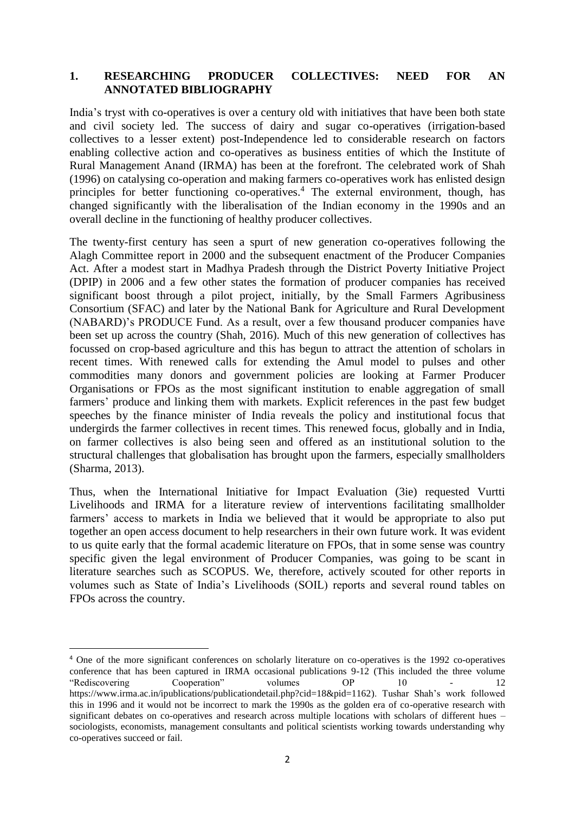#### **1. RESEARCHING PRODUCER COLLECTIVES: NEED FOR AN ANNOTATED BIBLIOGRAPHY**

India's tryst with co-operatives is over a century old with initiatives that have been both state and civil society led. The success of dairy and sugar co-operatives (irrigation-based collectives to a lesser extent) post-Independence led to considerable research on factors enabling collective action and co-operatives as business entities of which the Institute of Rural Management Anand (IRMA) has been at the forefront. The celebrated work of Shah (1996) on catalysing co-operation and making farmers co-operatives work has enlisted design principles for better functioning co-operatives.<sup>4</sup> The external environment, though, has changed significantly with the liberalisation of the Indian economy in the 1990s and an overall decline in the functioning of healthy producer collectives.

The twenty-first century has seen a spurt of new generation co-operatives following the Alagh Committee report in 2000 and the subsequent enactment of the Producer Companies Act. After a modest start in Madhya Pradesh through the District Poverty Initiative Project (DPIP) in 2006 and a few other states the formation of producer companies has received significant boost through a pilot project, initially, by the Small Farmers Agribusiness Consortium (SFAC) and later by the National Bank for Agriculture and Rural Development (NABARD)'s PRODUCE Fund. As a result, over a few thousand producer companies have been set up across the country (Shah, 2016). Much of this new generation of collectives has focussed on crop-based agriculture and this has begun to attract the attention of scholars in recent times. With renewed calls for extending the Amul model to pulses and other commodities many donors and government policies are looking at Farmer Producer Organisations or FPOs as the most significant institution to enable aggregation of small farmers' produce and linking them with markets. Explicit references in the past few budget speeches by the finance minister of India reveals the policy and institutional focus that undergirds the farmer collectives in recent times. This renewed focus, globally and in India, on farmer collectives is also being seen and offered as an institutional solution to the structural challenges that globalisation has brought upon the farmers, especially smallholders (Sharma, 2013).

Thus, when the International Initiative for Impact Evaluation (3ie) requested Vurtti Livelihoods and IRMA for a literature review of interventions facilitating smallholder farmers' access to markets in India we believed that it would be appropriate to also put together an open access document to help researchers in their own future work. It was evident to us quite early that the formal academic literature on FPOs, that in some sense was country specific given the legal environment of Producer Companies, was going to be scant in literature searches such as SCOPUS. We, therefore, actively scouted for other reports in volumes such as State of India's Livelihoods (SOIL) reports and several round tables on FPOs across the country.

**.** 

<sup>4</sup> One of the more significant conferences on scholarly literature on co-operatives is the 1992 co-operatives conference that has been captured in IRMA occasional publications 9-12 (This included the three volume  $\frac{12}{2}$ "Rediscovering Cooperation" volumes OP 10 - 12 [https://www.irma.ac.in/ipublications/publicationdetail.php?cid=18&pid=1162\)](https://www.irma.ac.in/ipublications/publicationdetail.php?cid=18&pid=1162). Tushar Shah's work followed this in 1996 and it would not be incorrect to mark the 1990s as the golden era of co-operative research with significant debates on co-operatives and research across multiple locations with scholars of different hues – sociologists, economists, management consultants and political scientists working towards understanding why co-operatives succeed or fail.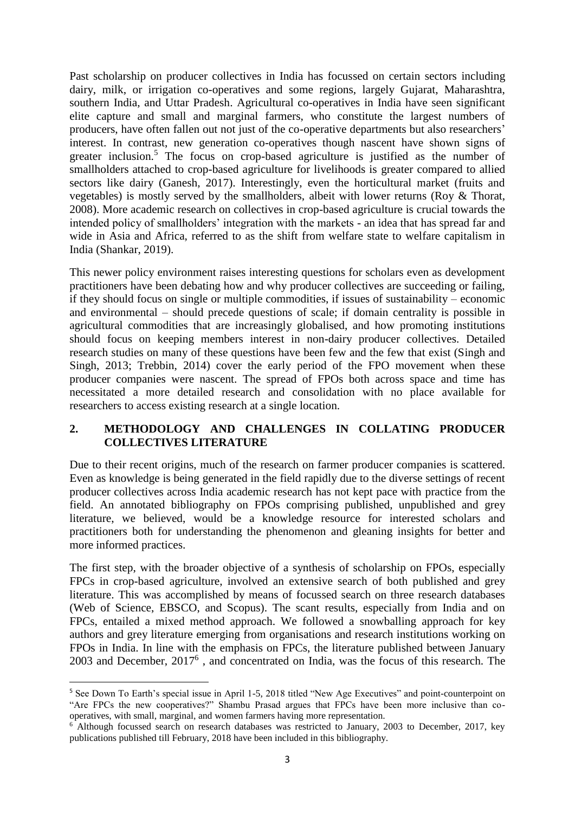Past scholarship on producer collectives in India has focussed on certain sectors including dairy, milk, or irrigation co-operatives and some regions, largely Gujarat, Maharashtra, southern India, and Uttar Pradesh. Agricultural co-operatives in India have seen significant elite capture and small and marginal farmers, who constitute the largest numbers of producers, have often fallen out not just of the co-operative departments but also researchers' interest. In contrast, new generation co-operatives though nascent have shown signs of greater inclusion.<sup>5</sup> The focus on crop-based agriculture is justified as the number of smallholders attached to crop-based agriculture for livelihoods is greater compared to allied sectors like dairy (Ganesh, 2017). Interestingly, even the horticultural market (fruits and vegetables) is mostly served by the smallholders, albeit with lower returns (Roy & Thorat, 2008). More academic research on collectives in crop-based agriculture is crucial towards the intended policy of smallholders' integration with the markets - an idea that has spread far and wide in Asia and Africa, referred to as the shift from welfare state to welfare capitalism in India (Shankar, 2019).

This newer policy environment raises interesting questions for scholars even as development practitioners have been debating how and why producer collectives are succeeding or failing, if they should focus on single or multiple commodities, if issues of sustainability – economic and environmental – should precede questions of scale; if domain centrality is possible in agricultural commodities that are increasingly globalised, and how promoting institutions should focus on keeping members interest in non-dairy producer collectives. Detailed research studies on many of these questions have been few and the few that exist (Singh and Singh, 2013; Trebbin, 2014) cover the early period of the FPO movement when these producer companies were nascent. The spread of FPOs both across space and time has necessitated a more detailed research and consolidation with no place available for researchers to access existing research at a single location.

## **2. METHODOLOGY AND CHALLENGES IN COLLATING PRODUCER COLLECTIVES LITERATURE**

Due to their recent origins, much of the research on farmer producer companies is scattered. Even as knowledge is being generated in the field rapidly due to the diverse settings of recent producer collectives across India academic research has not kept pace with practice from the field. An annotated bibliography on FPOs comprising published, unpublished and grey literature, we believed, would be a knowledge resource for interested scholars and practitioners both for understanding the phenomenon and gleaning insights for better and more informed practices.

The first step, with the broader objective of a synthesis of scholarship on FPOs, especially FPCs in crop-based agriculture, involved an extensive search of both published and grey literature. This was accomplished by means of focussed search on three research databases (Web of Science, EBSCO, and Scopus). The scant results, especially from India and on FPCs, entailed a mixed method approach. We followed a snowballing approach for key authors and grey literature emerging from organisations and research institutions working on FPOs in India. In line with the emphasis on FPCs, the literature published between January 2003 and December, 2017<sup>6</sup> , and concentrated on India, was the focus of this research. The

1

<sup>5</sup> See Down To Earth's special issue in April 1-5, 2018 titled "New Age Executives" and point-counterpoint on "Are FPCs the new cooperatives?" Shambu Prasad argues that FPCs have been more inclusive than cooperatives, with small, marginal, and women farmers having more representation.

<sup>&</sup>lt;sup>6</sup> Although focussed search on research databases was restricted to January, 2003 to December, 2017, key publications published till February, 2018 have been included in this bibliography.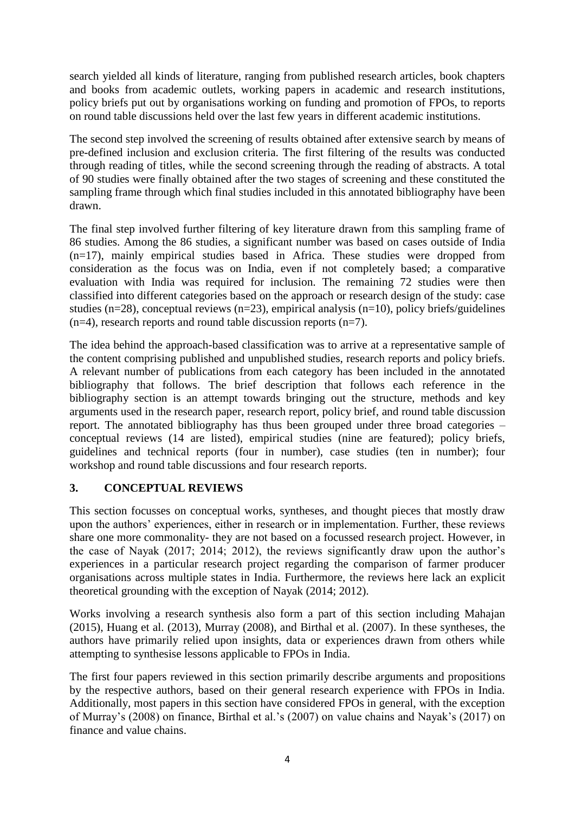search yielded all kinds of literature, ranging from published research articles, book chapters and books from academic outlets, working papers in academic and research institutions, policy briefs put out by organisations working on funding and promotion of FPOs, to reports on round table discussions held over the last few years in different academic institutions.

The second step involved the screening of results obtained after extensive search by means of pre-defined inclusion and exclusion criteria. The first filtering of the results was conducted through reading of titles, while the second screening through the reading of abstracts. A total of 90 studies were finally obtained after the two stages of screening and these constituted the sampling frame through which final studies included in this annotated bibliography have been drawn.

The final step involved further filtering of key literature drawn from this sampling frame of 86 studies. Among the 86 studies, a significant number was based on cases outside of India (n=17), mainly empirical studies based in Africa. These studies were dropped from consideration as the focus was on India, even if not completely based; a comparative evaluation with India was required for inclusion. The remaining 72 studies were then classified into different categories based on the approach or research design of the study: case studies (n=28), conceptual reviews (n=23), empirical analysis (n=10), policy briefs/guidelines  $(n=4)$ , research reports and round table discussion reports  $(n=7)$ .

The idea behind the approach-based classification was to arrive at a representative sample of the content comprising published and unpublished studies, research reports and policy briefs. A relevant number of publications from each category has been included in the annotated bibliography that follows. The brief description that follows each reference in the bibliography section is an attempt towards bringing out the structure, methods and key arguments used in the research paper, research report, policy brief, and round table discussion report. The annotated bibliography has thus been grouped under three broad categories – conceptual reviews (14 are listed), empirical studies (nine are featured); policy briefs, guidelines and technical reports (four in number), case studies (ten in number); four workshop and round table discussions and four research reports.

## **3. CONCEPTUAL REVIEWS**

This section focusses on conceptual works, syntheses, and thought pieces that mostly draw upon the authors' experiences, either in research or in implementation. Further, these reviews share one more commonality- they are not based on a focussed research project. However, in the case of Nayak (2017; 2014; 2012), the reviews significantly draw upon the author's experiences in a particular research project regarding the comparison of farmer producer organisations across multiple states in India. Furthermore, the reviews here lack an explicit theoretical grounding with the exception of Nayak (2014; 2012).

Works involving a research synthesis also form a part of this section including Mahajan (2015), Huang et al. (2013), Murray (2008), and Birthal et al. (2007). In these syntheses, the authors have primarily relied upon insights, data or experiences drawn from others while attempting to synthesise lessons applicable to FPOs in India.

The first four papers reviewed in this section primarily describe arguments and propositions by the respective authors, based on their general research experience with FPOs in India. Additionally, most papers in this section have considered FPOs in general, with the exception of Murray's (2008) on finance, Birthal et al.'s (2007) on value chains and Nayak's (2017) on finance and value chains.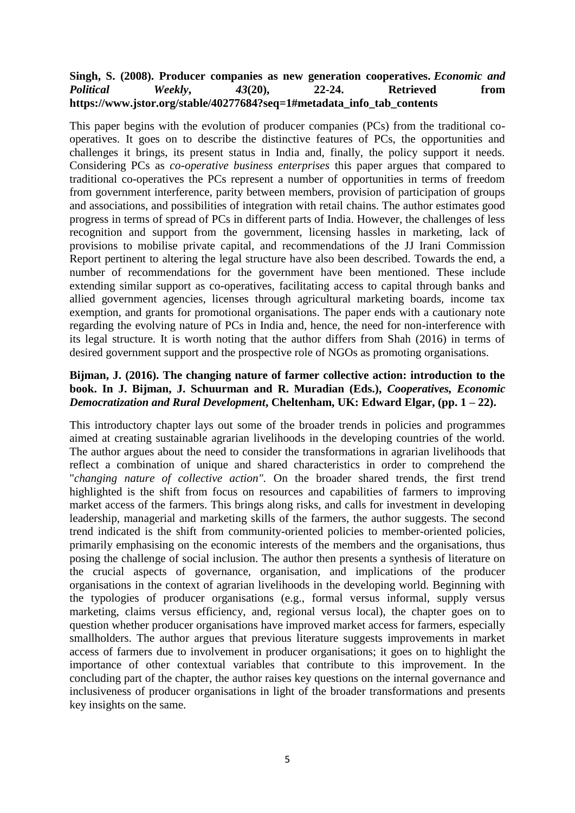#### **Singh, S. (2008). Producer companies as new generation cooperatives.** *Economic and Political Weekly***,** *43***(20), 22-24. Retrieved from [https://www.jstor.org/stable/40277684?seq=1#metadata\\_info\\_tab\\_contents](https://www.jstor.org/stable/40277684?seq=1#metadata_info_tab_contents)**

This paper begins with the evolution of producer companies (PCs) from the traditional cooperatives. It goes on to describe the distinctive features of PCs, the opportunities and challenges it brings, its present status in India and, finally, the policy support it needs. Considering PCs as *co-operative business enterprises* this paper argues that compared to traditional co-operatives the PCs represent a number of opportunities in terms of freedom from government interference, parity between members, provision of participation of groups and associations, and possibilities of integration with retail chains. The author estimates good progress in terms of spread of PCs in different parts of India. However, the challenges of less recognition and support from the government, licensing hassles in marketing, lack of provisions to mobilise private capital, and recommendations of the JJ Irani Commission Report pertinent to altering the legal structure have also been described. Towards the end, a number of recommendations for the government have been mentioned. These include extending similar support as co-operatives, facilitating access to capital through banks and allied government agencies, licenses through agricultural marketing boards, income tax exemption, and grants for promotional organisations. The paper ends with a cautionary note regarding the evolving nature of PCs in India and, hence, the need for non-interference with its legal structure. It is worth noting that the author differs from Shah (2016) in terms of desired government support and the prospective role of NGOs as promoting organisations.

#### **Bijman, J. (2016). The changing nature of farmer collective action: introduction to the book. In J. Bijman, J. Schuurman and R. Muradian (Eds.),** *Cooperatives, Economic Democratization and Rural Development***, Cheltenham, UK: Edward Elgar, (pp. 1 – 22).**

This introductory chapter lays out some of the broader trends in policies and programmes aimed at creating sustainable agrarian livelihoods in the developing countries of the world. The author argues about the need to consider the transformations in agrarian livelihoods that reflect a combination of unique and shared characteristics in order to comprehend the "*changing nature of collective action".* On the broader shared trends, the first trend highlighted is the shift from focus on resources and capabilities of farmers to improving market access of the farmers. This brings along risks, and calls for investment in developing leadership, managerial and marketing skills of the farmers, the author suggests. The second trend indicated is the shift from community-oriented policies to member-oriented policies, primarily emphasising on the economic interests of the members and the organisations, thus posing the challenge of social inclusion. The author then presents a synthesis of literature on the crucial aspects of governance, organisation, and implications of the producer organisations in the context of agrarian livelihoods in the developing world. Beginning with the typologies of producer organisations (e.g., formal versus informal, supply versus marketing, claims versus efficiency, and, regional versus local), the chapter goes on to question whether producer organisations have improved market access for farmers, especially smallholders. The author argues that previous literature suggests improvements in market access of farmers due to involvement in producer organisations; it goes on to highlight the importance of other contextual variables that contribute to this improvement. In the concluding part of the chapter, the author raises key questions on the internal governance and inclusiveness of producer organisations in light of the broader transformations and presents key insights on the same.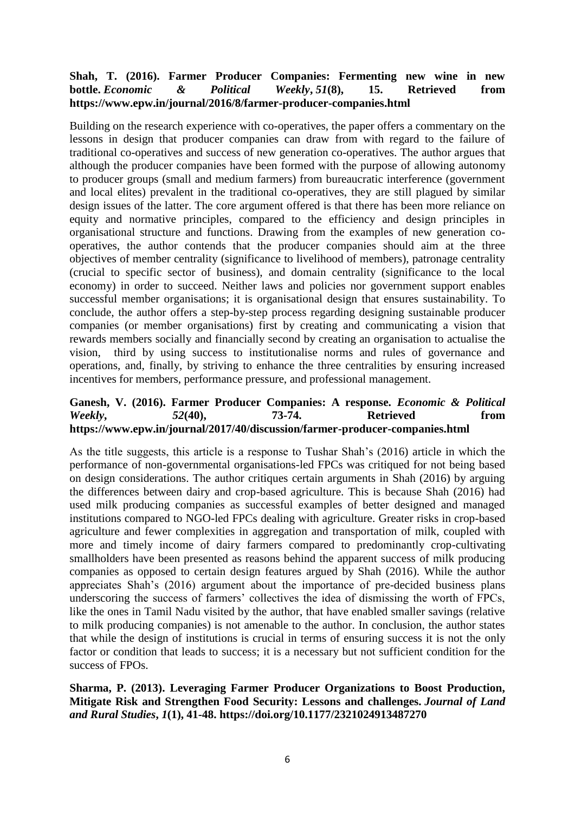## **Shah, T. (2016). Farmer Producer Companies: Fermenting new wine in new bottle.** *Economic & Political Weekly***,** *51***(8), 15. Retrieved from <https://www.epw.in/journal/2016/8/farmer-producer-companies.html>**

Building on the research experience with co-operatives, the paper offers a commentary on the lessons in design that producer companies can draw from with regard to the failure of traditional co-operatives and success of new generation co-operatives. The author argues that although the producer companies have been formed with the purpose of allowing autonomy to producer groups (small and medium farmers) from bureaucratic interference (government and local elites) prevalent in the traditional co-operatives, they are still plagued by similar design issues of the latter. The core argument offered is that there has been more reliance on equity and normative principles, compared to the efficiency and design principles in organisational structure and functions. Drawing from the examples of new generation cooperatives, the author contends that the producer companies should aim at the three objectives of member centrality (significance to livelihood of members), patronage centrality (crucial to specific sector of business), and domain centrality (significance to the local economy) in order to succeed. Neither laws and policies nor government support enables successful member organisations; it is organisational design that ensures sustainability. To conclude, the author offers a step-by-step process regarding designing sustainable producer companies (or member organisations) first by creating and communicating a vision that rewards members socially and financially second by creating an organisation to actualise the vision, third by using success to institutionalise norms and rules of governance and operations, and, finally, by striving to enhance the three centralities by ensuring increased incentives for members, performance pressure, and professional management.

#### **Ganesh, V. (2016). Farmer Producer Companies: A response.** *Economic & Political Weekly***,** *52***(40), 73-74. Retrieved from <https://www.epw.in/journal/2017/40/discussion/farmer-producer-companies.html>**

As the title suggests, this article is a response to Tushar Shah's (2016) article in which the performance of non-governmental organisations-led FPCs was critiqued for not being based on design considerations. The author critiques certain arguments in Shah (2016) by arguing the differences between dairy and crop-based agriculture. This is because Shah (2016) had used milk producing companies as successful examples of better designed and managed institutions compared to NGO-led FPCs dealing with agriculture. Greater risks in crop-based agriculture and fewer complexities in aggregation and transportation of milk, coupled with more and timely income of dairy farmers compared to predominantly crop-cultivating smallholders have been presented as reasons behind the apparent success of milk producing companies as opposed to certain design features argued by Shah (2016). While the author appreciates Shah's (2016) argument about the importance of pre-decided business plans underscoring the success of farmers' collectives the idea of dismissing the worth of FPCs, like the ones in Tamil Nadu visited by the author, that have enabled smaller savings (relative to milk producing companies) is not amenable to the author. In conclusion, the author states that while the design of institutions is crucial in terms of ensuring success it is not the only factor or condition that leads to success; it is a necessary but not sufficient condition for the success of FPOs.

#### **Sharma, P. (2013). Leveraging Farmer Producer Organizations to Boost Production, Mitigate Risk and Strengthen Food Security: Lessons and challenges.** *Journal of Land and Rural Studies***,** *1***(1), 41-48. [https://doi.org/10.1177/2321024913487270](https://doi.org/10.1177%2F2321024913487270)**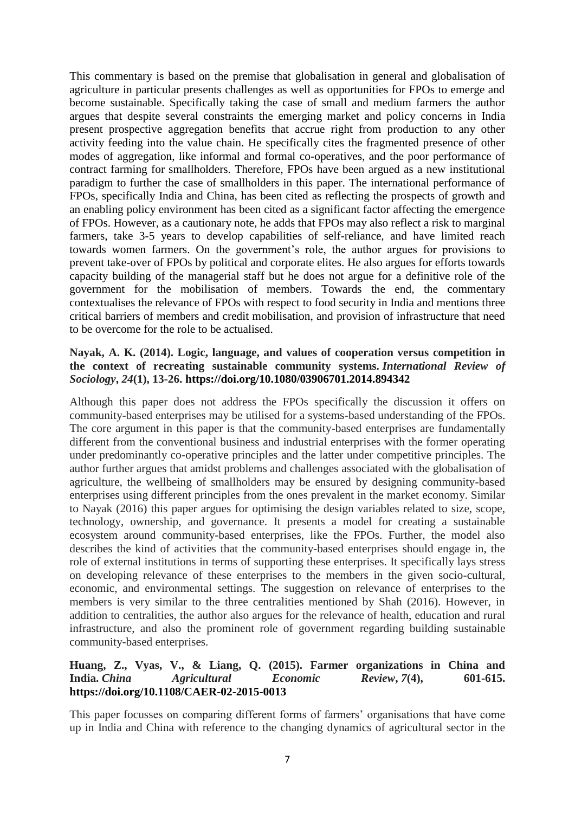This commentary is based on the premise that globalisation in general and globalisation of agriculture in particular presents challenges as well as opportunities for FPOs to emerge and become sustainable. Specifically taking the case of small and medium farmers the author argues that despite several constraints the emerging market and policy concerns in India present prospective aggregation benefits that accrue right from production to any other activity feeding into the value chain. He specifically cites the fragmented presence of other modes of aggregation, like informal and formal co-operatives, and the poor performance of contract farming for smallholders. Therefore, FPOs have been argued as a new institutional paradigm to further the case of smallholders in this paper. The international performance of FPOs, specifically India and China, has been cited as reflecting the prospects of growth and an enabling policy environment has been cited as a significant factor affecting the emergence of FPOs. However, as a cautionary note, he adds that FPOs may also reflect a risk to marginal farmers, take 3-5 years to develop capabilities of self-reliance, and have limited reach towards women farmers. On the government's role, the author argues for provisions to prevent take-over of FPOs by political and corporate elites. He also argues for efforts towards capacity building of the managerial staff but he does not argue for a definitive role of the government for the mobilisation of members. Towards the end, the commentary contextualises the relevance of FPOs with respect to food security in India and mentions three critical barriers of members and credit mobilisation, and provision of infrastructure that need to be overcome for the role to be actualised.

#### **Nayak, A. K. (2014). Logic, language, and values of cooperation versus competition in the context of recreating sustainable community systems.** *International Review of Sociology***,** *24***(1), 13-26.<https://doi.org/10.1080/03906701.2014.894342>**

Although this paper does not address the FPOs specifically the discussion it offers on community-based enterprises may be utilised for a systems-based understanding of the FPOs. The core argument in this paper is that the community-based enterprises are fundamentally different from the conventional business and industrial enterprises with the former operating under predominantly co-operative principles and the latter under competitive principles. The author further argues that amidst problems and challenges associated with the globalisation of agriculture, the wellbeing of smallholders may be ensured by designing community-based enterprises using different principles from the ones prevalent in the market economy. Similar to Nayak (2016) this paper argues for optimising the design variables related to size, scope, technology, ownership, and governance. It presents a model for creating a sustainable ecosystem around community-based enterprises, like the FPOs. Further, the model also describes the kind of activities that the community-based enterprises should engage in, the role of external institutions in terms of supporting these enterprises. It specifically lays stress on developing relevance of these enterprises to the members in the given socio-cultural, economic, and environmental settings. The suggestion on relevance of enterprises to the members is very similar to the three centralities mentioned by Shah (2016). However, in addition to centralities, the author also argues for the relevance of health, education and rural infrastructure, and also the prominent role of government regarding building sustainable community-based enterprises.

#### **Huang, Z., Vyas, V., & Liang, Q. (2015). Farmer organizations in China and India.** *China Agricultural Economic Review***,** *7***(4), 601-615. <https://doi.org/10.1108/CAER-02-2015-0013>**

This paper focusses on comparing different forms of farmers' organisations that have come up in India and China with reference to the changing dynamics of agricultural sector in the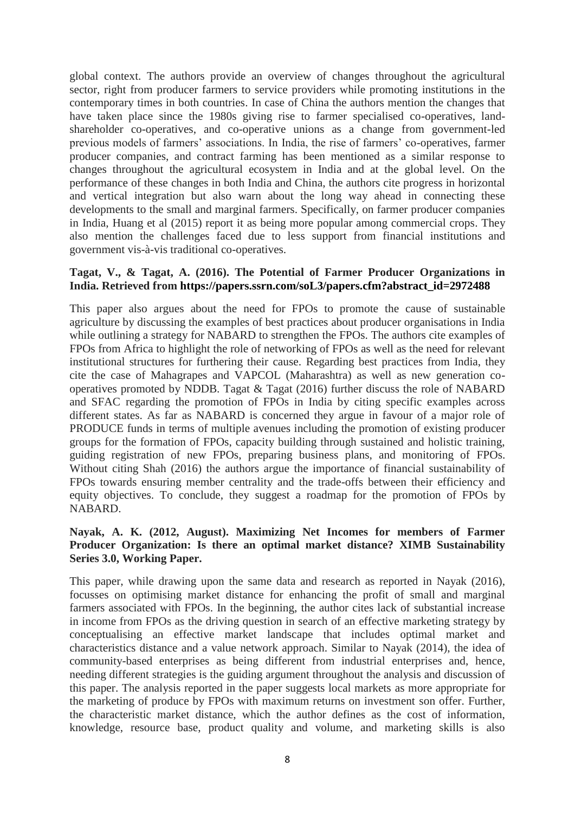global context. The authors provide an overview of changes throughout the agricultural sector, right from producer farmers to service providers while promoting institutions in the contemporary times in both countries. In case of China the authors mention the changes that have taken place since the 1980s giving rise to farmer specialised co-operatives, landshareholder co-operatives, and co-operative unions as a change from government-led previous models of farmers' associations. In India, the rise of farmers' co-operatives, farmer producer companies, and contract farming has been mentioned as a similar response to changes throughout the agricultural ecosystem in India and at the global level. On the performance of these changes in both India and China, the authors cite progress in horizontal and vertical integration but also warn about the long way ahead in connecting these developments to the small and marginal farmers. Specifically, on farmer producer companies in India, Huang et al (2015) report it as being more popular among commercial crops. They also mention the challenges faced due to less support from financial institutions and government vis-à-vis traditional co-operatives.

#### **Tagat, V., & Tagat, A. (2016). The Potential of Farmer Producer Organizations in India. Retrieved from [https://papers.ssrn.com/soL3/papers.cfm?abstract\\_id=2972488](https://papers.ssrn.com/soL3/papers.cfm?abstract_id=2972488)**

This paper also argues about the need for FPOs to promote the cause of sustainable agriculture by discussing the examples of best practices about producer organisations in India while outlining a strategy for NABARD to strengthen the FPOs. The authors cite examples of FPOs from Africa to highlight the role of networking of FPOs as well as the need for relevant institutional structures for furthering their cause. Regarding best practices from India, they cite the case of Mahagrapes and VAPCOL (Maharashtra) as well as new generation cooperatives promoted by NDDB. Tagat & Tagat (2016) further discuss the role of NABARD and SFAC regarding the promotion of FPOs in India by citing specific examples across different states. As far as NABARD is concerned they argue in favour of a major role of PRODUCE funds in terms of multiple avenues including the promotion of existing producer groups for the formation of FPOs, capacity building through sustained and holistic training, guiding registration of new FPOs, preparing business plans, and monitoring of FPOs. Without citing Shah (2016) the authors argue the importance of financial sustainability of FPOs towards ensuring member centrality and the trade-offs between their efficiency and equity objectives. To conclude, they suggest a roadmap for the promotion of FPOs by NABARD.

#### **Nayak, A. K. (2012, August). Maximizing Net Incomes for members of Farmer Producer Organization: Is there an optimal market distance? XIMB Sustainability Series 3.0, Working Paper.**

This paper, while drawing upon the same data and research as reported in Nayak (2016), focusses on optimising market distance for enhancing the profit of small and marginal farmers associated with FPOs. In the beginning, the author cites lack of substantial increase in income from FPOs as the driving question in search of an effective marketing strategy by conceptualising an effective market landscape that includes optimal market and characteristics distance and a value network approach. Similar to Nayak (2014), the idea of community-based enterprises as being different from industrial enterprises and, hence, needing different strategies is the guiding argument throughout the analysis and discussion of this paper. The analysis reported in the paper suggests local markets as more appropriate for the marketing of produce by FPOs with maximum returns on investment son offer. Further, the characteristic market distance, which the author defines as the cost of information, knowledge, resource base, product quality and volume, and marketing skills is also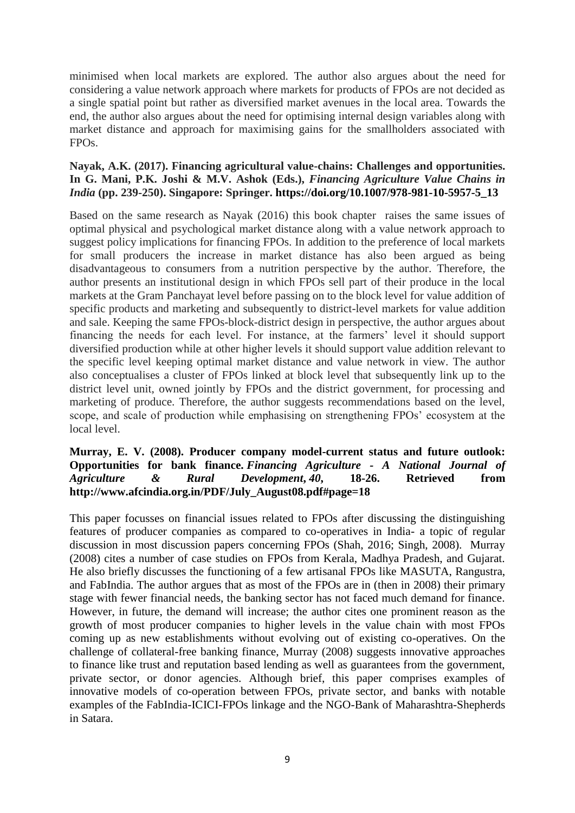minimised when local markets are explored. The author also argues about the need for considering a value network approach where markets for products of FPOs are not decided as a single spatial point but rather as diversified market avenues in the local area. Towards the end, the author also argues about the need for optimising internal design variables along with market distance and approach for maximising gains for the smallholders associated with FPOs.

#### **Nayak, A.K. (2017). Financing agricultural value-chains: Challenges and opportunities. In G. Mani, P.K. Joshi & M.V. Ashok (Eds.),** *Financing Agriculture Value Chains in India* **(pp. 239-250). Singapore: Springer. [https://doi.org/10.1007/978-981-10-5957-5\\_13](https://doi.org/10.1007/978-981-10-5957-5_13)**

Based on the same research as Nayak (2016) this book chapter raises the same issues of optimal physical and psychological market distance along with a value network approach to suggest policy implications for financing FPOs. In addition to the preference of local markets for small producers the increase in market distance has also been argued as being disadvantageous to consumers from a nutrition perspective by the author. Therefore, the author presents an institutional design in which FPOs sell part of their produce in the local markets at the Gram Panchayat level before passing on to the block level for value addition of specific products and marketing and subsequently to district-level markets for value addition and sale. Keeping the same FPOs-block-district design in perspective, the author argues about financing the needs for each level. For instance, at the farmers' level it should support diversified production while at other higher levels it should support value addition relevant to the specific level keeping optimal market distance and value network in view. The author also conceptualises a cluster of FPOs linked at block level that subsequently link up to the district level unit, owned jointly by FPOs and the district government, for processing and marketing of produce. Therefore, the author suggests recommendations based on the level, scope, and scale of production while emphasising on strengthening FPOs' ecosystem at the local level.

#### **Murray, E. V. (2008). Producer company model-current status and future outlook: Opportunities for bank finance.** *Financing Agriculture - A National Journal of Agriculture & Rural Development***,** *40***, 18-26. Retrieved from [http://www.afcindia.org.in/PDF/July\\_August08.pdf#page=18](http://www.afcindia.org.in/PDF/July_August08.pdf#page=18)**

This paper focusses on financial issues related to FPOs after discussing the distinguishing features of producer companies as compared to co-operatives in India- a topic of regular discussion in most discussion papers concerning FPOs (Shah, 2016; Singh, 2008). Murray (2008) cites a number of case studies on FPOs from Kerala, Madhya Pradesh, and Gujarat. He also briefly discusses the functioning of a few artisanal FPOs like MASUTA, Rangustra, and FabIndia. The author argues that as most of the FPOs are in (then in 2008) their primary stage with fewer financial needs, the banking sector has not faced much demand for finance. However, in future, the demand will increase; the author cites one prominent reason as the growth of most producer companies to higher levels in the value chain with most FPOs coming up as new establishments without evolving out of existing co-operatives. On the challenge of collateral-free banking finance, Murray (2008) suggests innovative approaches to finance like trust and reputation based lending as well as guarantees from the government, private sector, or donor agencies. Although brief, this paper comprises examples of innovative models of co-operation between FPOs, private sector, and banks with notable examples of the FabIndia-ICICI-FPOs linkage and the NGO-Bank of Maharashtra-Shepherds in Satara.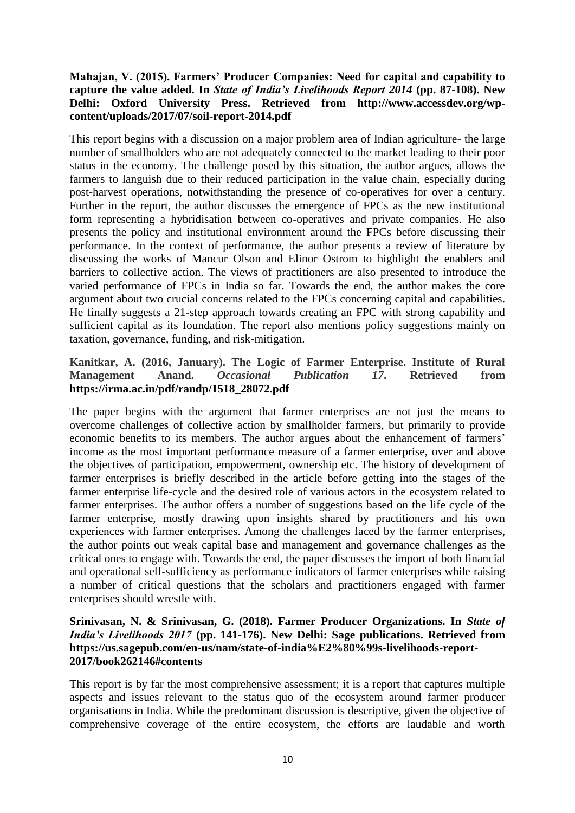#### **Mahajan, V. (2015). Farmers' Producer Companies: Need for capital and capability to capture the value added. In** *State of India's Livelihoods Report 2014* **(pp. 87-108). New Delhi: Oxford University Press. Retrieved from [http://www.accessdev.org/wp](http://www.accessdev.org/wp-content/uploads/2017/07/soil-report-2014.pdf)[content/uploads/2017/07/soil-report-2014.pdf](http://www.accessdev.org/wp-content/uploads/2017/07/soil-report-2014.pdf)**

This report begins with a discussion on a major problem area of Indian agriculture- the large number of smallholders who are not adequately connected to the market leading to their poor status in the economy. The challenge posed by this situation, the author argues, allows the farmers to languish due to their reduced participation in the value chain, especially during post-harvest operations, notwithstanding the presence of co-operatives for over a century. Further in the report, the author discusses the emergence of FPCs as the new institutional form representing a hybridisation between co-operatives and private companies. He also presents the policy and institutional environment around the FPCs before discussing their performance. In the context of performance, the author presents a review of literature by discussing the works of Mancur Olson and Elinor Ostrom to highlight the enablers and barriers to collective action. The views of practitioners are also presented to introduce the varied performance of FPCs in India so far. Towards the end, the author makes the core argument about two crucial concerns related to the FPCs concerning capital and capabilities. He finally suggests a 21-step approach towards creating an FPC with strong capability and sufficient capital as its foundation. The report also mentions policy suggestions mainly on taxation, governance, funding, and risk-mitigation.

#### **Kanitkar, A. (2016, January). The Logic of Farmer Enterprise. Institute of Rural Management Anand.** *Occasional Publication 17***. Retrieved from [https://irma.ac.in/pdf/randp/1518\\_28072.pdf](https://irma.ac.in/pdf/randp/1518_28072.pdf)**

The paper begins with the argument that farmer enterprises are not just the means to overcome challenges of collective action by smallholder farmers, but primarily to provide economic benefits to its members. The author argues about the enhancement of farmers' income as the most important performance measure of a farmer enterprise, over and above the objectives of participation, empowerment, ownership etc. The history of development of farmer enterprises is briefly described in the article before getting into the stages of the farmer enterprise life-cycle and the desired role of various actors in the ecosystem related to farmer enterprises. The author offers a number of suggestions based on the life cycle of the farmer enterprise, mostly drawing upon insights shared by practitioners and his own experiences with farmer enterprises. Among the challenges faced by the farmer enterprises, the author points out weak capital base and management and governance challenges as the critical ones to engage with. Towards the end, the paper discusses the import of both financial and operational self-sufficiency as performance indicators of farmer enterprises while raising a number of critical questions that the scholars and practitioners engaged with farmer enterprises should wrestle with.

#### **Srinivasan, N. & Srinivasan, G. (2018). Farmer Producer Organizations. In** *State of India's Livelihoods 2017* **(pp. 141-176). New Delhi: Sage publications. Retrieved from [https://us.sagepub.com/en-us/nam/state-of-india%E2%80%99s-livelihoods-report-](https://us.sagepub.com/en-us/nam/state-of-india%E2%80%99s-livelihoods-report-2017/book262146#contents)[2017/book262146#contents](https://us.sagepub.com/en-us/nam/state-of-india%E2%80%99s-livelihoods-report-2017/book262146#contents)**

This report is by far the most comprehensive assessment; it is a report that captures multiple aspects and issues relevant to the status quo of the ecosystem around farmer producer organisations in India. While the predominant discussion is descriptive, given the objective of comprehensive coverage of the entire ecosystem, the efforts are laudable and worth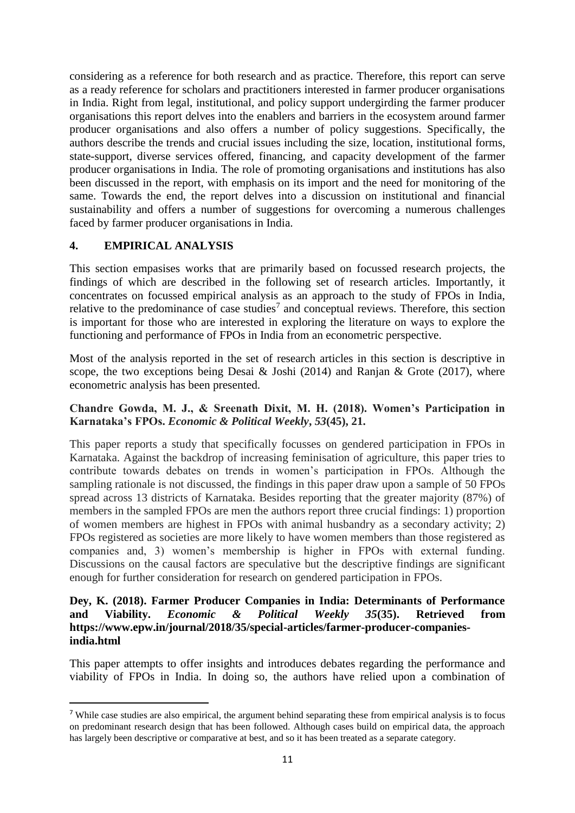considering as a reference for both research and as practice. Therefore, this report can serve as a ready reference for scholars and practitioners interested in farmer producer organisations in India. Right from legal, institutional, and policy support undergirding the farmer producer organisations this report delves into the enablers and barriers in the ecosystem around farmer producer organisations and also offers a number of policy suggestions. Specifically, the authors describe the trends and crucial issues including the size, location, institutional forms, state-support, diverse services offered, financing, and capacity development of the farmer producer organisations in India. The role of promoting organisations and institutions has also been discussed in the report, with emphasis on its import and the need for monitoring of the same. Towards the end, the report delves into a discussion on institutional and financial sustainability and offers a number of suggestions for overcoming a numerous challenges faced by farmer producer organisations in India.

## **4. EMPIRICAL ANALYSIS**

**.** 

This section empasises works that are primarily based on focussed research projects, the findings of which are described in the following set of research articles. Importantly, it concentrates on focussed empirical analysis as an approach to the study of FPOs in India, relative to the predominance of case studies<sup>7</sup> and conceptual reviews. Therefore, this section is important for those who are interested in exploring the literature on ways to explore the functioning and performance of FPOs in India from an econometric perspective.

Most of the analysis reported in the set of research articles in this section is descriptive in scope, the two exceptions being Desai & Joshi (2014) and Ranjan & Grote (2017), where econometric analysis has been presented.

### **Chandre Gowda, M. J., & Sreenath Dixit, M. H. (2018). Women's Participation in Karnataka's FPOs.** *Economic & Political Weekly***,** *53***(45), 21.**

This paper reports a study that specifically focusses on gendered participation in FPOs in Karnataka. Against the backdrop of increasing feminisation of agriculture, this paper tries to contribute towards debates on trends in women's participation in FPOs. Although the sampling rationale is not discussed, the findings in this paper draw upon a sample of 50 FPOs spread across 13 districts of Karnataka. Besides reporting that the greater majority (87%) of members in the sampled FPOs are men the authors report three crucial findings: 1) proportion of women members are highest in FPOs with animal husbandry as a secondary activity; 2) FPOs registered as societies are more likely to have women members than those registered as companies and, 3) women's membership is higher in FPOs with external funding. Discussions on the causal factors are speculative but the descriptive findings are significant enough for further consideration for research on gendered participation in FPOs.

#### **Dey, K. (2018). Farmer Producer Companies in India: Determinants of Performance and Viability.** *Economic & Political Weekly 35***(35). Retrieved from [https://www.epw.in/journal/2018/35/special-articles/farmer-producer-companies](https://www.epw.in/journal/2018/35/special-articles/farmer-producer-companies-india.html)[india.html](https://www.epw.in/journal/2018/35/special-articles/farmer-producer-companies-india.html)**

This paper attempts to offer insights and introduces debates regarding the performance and viability of FPOs in India. In doing so, the authors have relied upon a combination of

<sup>&</sup>lt;sup>7</sup> While case studies are also empirical, the argument behind separating these from empirical analysis is to focus on predominant research design that has been followed. Although cases build on empirical data, the approach has largely been descriptive or comparative at best, and so it has been treated as a separate category.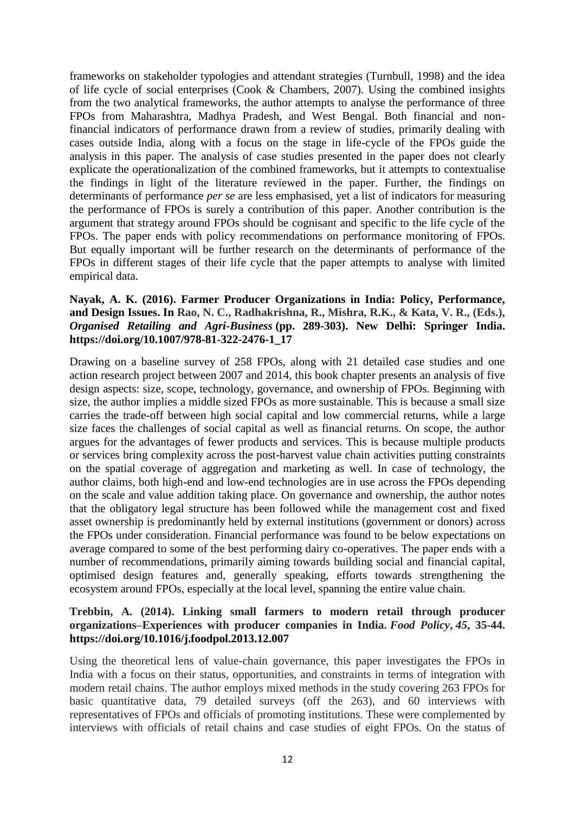frameworks on stakeholder typologies and attendant strategies (Turnbull, 1998) and the idea of life cycle of social enterprises (Cook & Chambers, 2007). Using the combined insights from the two analytical frameworks, the author attempts to analyse the performance of three FPOs from Maharashtra, Madhya Pradesh, and West Bengal. Both financial and nonfinancial indicators of performance drawn from a review of studies, primarily dealing with cases outside India, along with a focus on the stage in life-cycle of the FPOs guide the analysis in this paper. The analysis of case studies presented in the paper does not clearly explicate the operationalization of the combined frameworks, but it attempts to contextualise the findings in light of the literature reviewed in the paper. Further, the findings on determinants of performance *per se* are less emphasised, yet a list of indicators for measuring the performance of FPOs is surely a contribution of this paper. Another contribution is the argument that strategy around FPOs should be cognisant and specific to the life cycle of the FPOs. The paper ends with policy recommendations on performance monitoring of FPOs. But equally important will be further research on the determinants of performance of the FPOs in different stages of their life cycle that the paper attempts to analyse with limited empirical data.

#### **Nayak, A. K. (2016). Farmer Producer Organizations in India: Policy, Performance, and Design Issues. In Rao, N. C., Radhakrishna, R., Mishra, R.K., & Kata, V. R., (Eds.),**  *Organised Retailing and Agri-Business* **(pp. 289-303). New Delhi: Springer India. [https://doi.org/10.1007/978-81-322-2476-1\\_17](https://doi.org/10.1007/978-81-322-2476-1_17)**

Drawing on a baseline survey of 258 FPOs, along with 21 detailed case studies and one action research project between 2007 and 2014, this book chapter presents an analysis of five design aspects: size, scope, technology, governance, and ownership of FPOs. Beginning with size, the author implies a middle sized FPOs as more sustainable. This is because a small size carries the trade-off between high social capital and low commercial returns, while a large size faces the challenges of social capital as well as financial returns. On scope, the author argues for the advantages of fewer products and services. This is because multiple products or services bring complexity across the post-harvest value chain activities putting constraints on the spatial coverage of aggregation and marketing as well. In case of technology, the author claims, both high-end and low-end technologies are in use across the FPOs depending on the scale and value addition taking place. On governance and ownership, the author notes that the obligatory legal structure has been followed while the management cost and fixed asset ownership is predominantly held by external institutions (government or donors) across the FPOs under consideration. Financial performance was found to be below expectations on average compared to some of the best performing dairy co-operatives. The paper ends with a number of recommendations, primarily aiming towards building social and financial capital, optimised design features and, generally speaking, efforts towards strengthening the ecosystem around FPOs, especially at the local level, spanning the entire value chain.

#### **Trebbin, A. (2014). Linking small farmers to modern retail through producer organizations–Experiences with producer companies in India.** *Food Policy***,** *45***, 35-44. <https://doi.org/10.1016/j.foodpol.2013.12.007>**

Using the theoretical lens of value-chain governance, this paper investigates the FPOs in India with a focus on their status, opportunities, and constraints in terms of integration with modern retail chains. The author employs mixed methods in the study covering 263 FPOs for basic quantitative data, 79 detailed surveys (off the 263), and 60 interviews with representatives of FPOs and officials of promoting institutions. These were complemented by interviews with officials of retail chains and case studies of eight FPOs. On the status of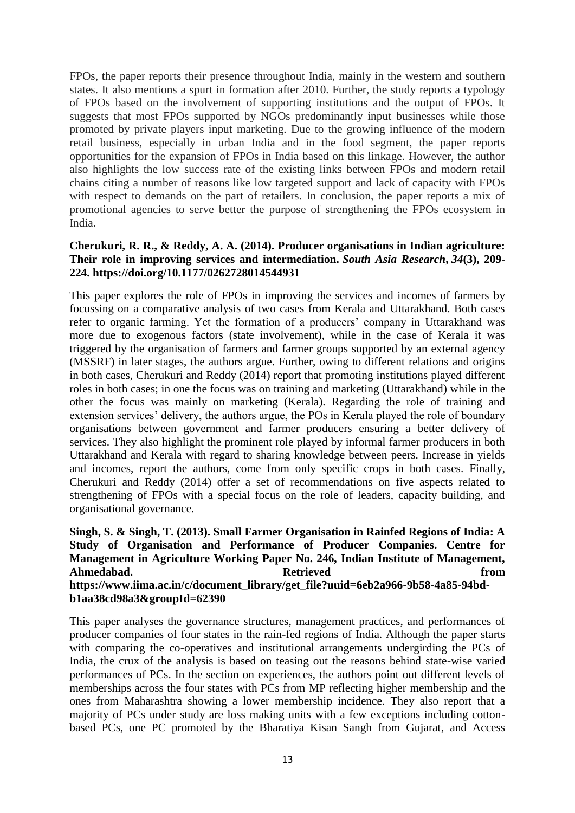FPOs, the paper reports their presence throughout India, mainly in the western and southern states. It also mentions a spurt in formation after 2010. Further, the study reports a typology of FPOs based on the involvement of supporting institutions and the output of FPOs. It suggests that most FPOs supported by NGOs predominantly input businesses while those promoted by private players input marketing. Due to the growing influence of the modern retail business, especially in urban India and in the food segment, the paper reports opportunities for the expansion of FPOs in India based on this linkage. However, the author also highlights the low success rate of the existing links between FPOs and modern retail chains citing a number of reasons like low targeted support and lack of capacity with FPOs with respect to demands on the part of retailers. In conclusion, the paper reports a mix of promotional agencies to serve better the purpose of strengthening the FPOs ecosystem in India.

#### **Cherukuri, R. R., & Reddy, A. A. (2014). Producer organisations in Indian agriculture: Their role in improving services and intermediation.** *South Asia Research***,** *34***(3), 209- 224. [https://doi.org/10.1177/0262728014544931](https://doi.org/10.1177%2F0262728014544931)**

This paper explores the role of FPOs in improving the services and incomes of farmers by focussing on a comparative analysis of two cases from Kerala and Uttarakhand. Both cases refer to organic farming. Yet the formation of a producers' company in Uttarakhand was more due to exogenous factors (state involvement), while in the case of Kerala it was triggered by the organisation of farmers and farmer groups supported by an external agency (MSSRF) in later stages, the authors argue. Further, owing to different relations and origins in both cases, Cherukuri and Reddy (2014) report that promoting institutions played different roles in both cases; in one the focus was on training and marketing (Uttarakhand) while in the other the focus was mainly on marketing (Kerala). Regarding the role of training and extension services' delivery, the authors argue, the POs in Kerala played the role of boundary organisations between government and farmer producers ensuring a better delivery of services. They also highlight the prominent role played by informal farmer producers in both Uttarakhand and Kerala with regard to sharing knowledge between peers. Increase in yields and incomes, report the authors, come from only specific crops in both cases. Finally, Cherukuri and Reddy (2014) offer a set of recommendations on five aspects related to strengthening of FPOs with a special focus on the role of leaders, capacity building, and organisational governance.

### **Singh, S. & Singh, T. (2013). Small Farmer Organisation in Rainfed Regions of India: A Study of Organisation and Performance of Producer Companies. Centre for Management in Agriculture Working Paper No. 246, Indian Institute of Management,**  Ahmedabad. **Retrieved Retrieved from [https://www.iima.ac.in/c/document\\_library/get\\_file?uuid=6eb2a966-9b58-4a85-94bd](https://www.iima.ac.in/c/document_library/get_file?uuid=6eb2a966-9b58-4a85-94bd-b1aa38cd98a3&groupId=62390)[b1aa38cd98a3&groupId=62390](https://www.iima.ac.in/c/document_library/get_file?uuid=6eb2a966-9b58-4a85-94bd-b1aa38cd98a3&groupId=62390)**

This paper analyses the governance structures, management practices, and performances of producer companies of four states in the rain-fed regions of India. Although the paper starts with comparing the co-operatives and institutional arrangements undergirding the PCs of India, the crux of the analysis is based on teasing out the reasons behind state-wise varied performances of PCs. In the section on experiences, the authors point out different levels of memberships across the four states with PCs from MP reflecting higher membership and the ones from Maharashtra showing a lower membership incidence. They also report that a majority of PCs under study are loss making units with a few exceptions including cottonbased PCs, one PC promoted by the Bharatiya Kisan Sangh from Gujarat, and Access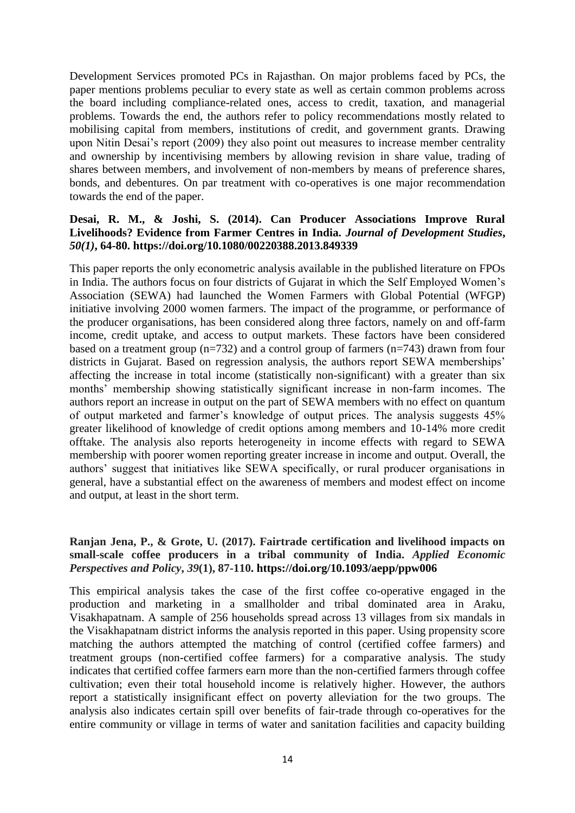Development Services promoted PCs in Rajasthan. On major problems faced by PCs, the paper mentions problems peculiar to every state as well as certain common problems across the board including compliance-related ones, access to credit, taxation, and managerial problems. Towards the end, the authors refer to policy recommendations mostly related to mobilising capital from members, institutions of credit, and government grants. Drawing upon Nitin Desai's report (2009) they also point out measures to increase member centrality and ownership by incentivising members by allowing revision in share value, trading of shares between members, and involvement of non-members by means of preference shares, bonds, and debentures. On par treatment with co-operatives is one major recommendation towards the end of the paper.

#### **Desai, R. M., & Joshi, S. (2014). Can Producer Associations Improve Rural Livelihoods? Evidence from Farmer Centres in India.** *Journal of Development Studies***,**  *50(1)***, 64-80.<https://doi.org/10.1080/00220388.2013.849339>**

This paper reports the only econometric analysis available in the published literature on FPOs in India. The authors focus on four districts of Gujarat in which the Self Employed Women's Association (SEWA) had launched the Women Farmers with Global Potential (WFGP) initiative involving 2000 women farmers. The impact of the programme, or performance of the producer organisations, has been considered along three factors, namely on and off-farm income, credit uptake, and access to output markets. These factors have been considered based on a treatment group  $(n=732)$  and a control group of farmers  $(n=743)$  drawn from four districts in Gujarat. Based on regression analysis, the authors report SEWA memberships' affecting the increase in total income (statistically non-significant) with a greater than six months' membership showing statistically significant increase in non-farm incomes. The authors report an increase in output on the part of SEWA members with no effect on quantum of output marketed and farmer's knowledge of output prices. The analysis suggests 45% greater likelihood of knowledge of credit options among members and 10-14% more credit offtake. The analysis also reports heterogeneity in income effects with regard to SEWA membership with poorer women reporting greater increase in income and output. Overall, the authors' suggest that initiatives like SEWA specifically, or rural producer organisations in general, have a substantial effect on the awareness of members and modest effect on income and output, at least in the short term.

## **Ranjan Jena, P., & Grote, U. (2017). Fairtrade certification and livelihood impacts on small-scale coffee producers in a tribal community of India.** *Applied Economic Perspectives and Policy***,** *39***(1), 87-110.<https://doi.org/10.1093/aepp/ppw006>**

This empirical analysis takes the case of the first coffee co-operative engaged in the production and marketing in a smallholder and tribal dominated area in Araku, Visakhapatnam. A sample of 256 households spread across 13 villages from six mandals in the Visakhapatnam district informs the analysis reported in this paper. Using propensity score matching the authors attempted the matching of control (certified coffee farmers) and treatment groups (non-certified coffee farmers) for a comparative analysis. The study indicates that certified coffee farmers earn more than the non-certified farmers through coffee cultivation; even their total household income is relatively higher. However, the authors report a statistically insignificant effect on poverty alleviation for the two groups. The analysis also indicates certain spill over benefits of fair-trade through co-operatives for the entire community or village in terms of water and sanitation facilities and capacity building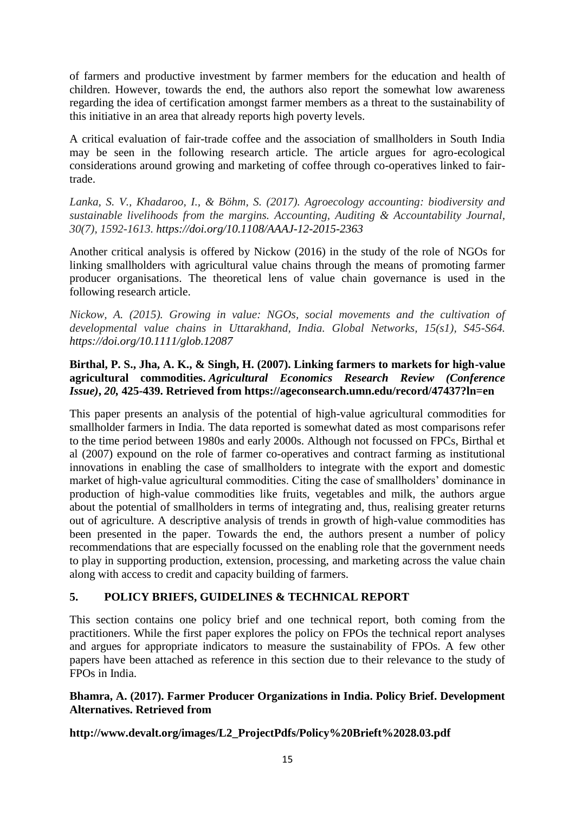of farmers and productive investment by farmer members for the education and health of children. However, towards the end, the authors also report the somewhat low awareness regarding the idea of certification amongst farmer members as a threat to the sustainability of this initiative in an area that already reports high poverty levels.

A critical evaluation of fair-trade coffee and the association of smallholders in South India may be seen in the following research article. The article argues for agro-ecological considerations around growing and marketing of coffee through co-operatives linked to fairtrade.

*Lanka, S. V., Khadaroo, I., & Böhm, S. (2017). Agroecology accounting: biodiversity and sustainable livelihoods from the margins. Accounting, Auditing & Accountability Journal, 30(7), 1592-1613. <https://doi.org/10.1108/AAAJ-12-2015-2363>*

Another critical analysis is offered by Nickow (2016) in the study of the role of NGOs for linking smallholders with agricultural value chains through the means of promoting farmer producer organisations. The theoretical lens of value chain governance is used in the following research article.

*Nickow, A. (2015). Growing in value: NGOs, social movements and the cultivation of developmental value chains in Uttarakhand, India. Global Networks, 15(s1), S45-S64. <https://doi.org/10.1111/glob.12087>*

## **Birthal, P. S., Jha, A. K., & Singh, H. (2007). Linking farmers to markets for high-value agricultural commodities.** *Agricultural Economics Research Review (Conference Issue)***,** *20,* **425-439. Retrieved from<https://ageconsearch.umn.edu/record/47437?ln=en>**

This paper presents an analysis of the potential of high-value agricultural commodities for smallholder farmers in India. The data reported is somewhat dated as most comparisons refer to the time period between 1980s and early 2000s. Although not focussed on FPCs, Birthal et al (2007) expound on the role of farmer co-operatives and contract farming as institutional innovations in enabling the case of smallholders to integrate with the export and domestic market of high-value agricultural commodities. Citing the case of smallholders' dominance in production of high-value commodities like fruits, vegetables and milk, the authors argue about the potential of smallholders in terms of integrating and, thus, realising greater returns out of agriculture. A descriptive analysis of trends in growth of high-value commodities has been presented in the paper. Towards the end, the authors present a number of policy recommendations that are especially focussed on the enabling role that the government needs to play in supporting production, extension, processing, and marketing across the value chain along with access to credit and capacity building of farmers.

## **5. POLICY BRIEFS, GUIDELINES & TECHNICAL REPORT**

This section contains one policy brief and one technical report, both coming from the practitioners. While the first paper explores the policy on FPOs the technical report analyses and argues for appropriate indicators to measure the sustainability of FPOs. A few other papers have been attached as reference in this section due to their relevance to the study of  $FPOs$  in India

## **Bhamra, A. (2017). Farmer Producer Organizations in India. Policy Brief. Development Alternatives. Retrieved from**

**[http://www.devalt.org/images/L2\\_ProjectPdfs/Policy%20Brieft%2028.03.pdf](http://www.devalt.org/images/L2_ProjectPdfs/Policy%20Brieft%2028.03.pdf)**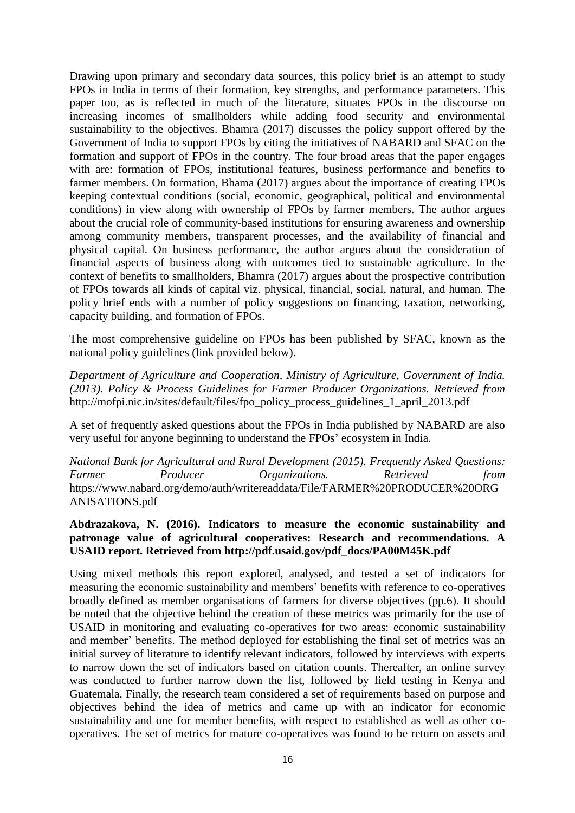Drawing upon primary and secondary data sources, this policy brief is an attempt to study FPOs in India in terms of their formation, key strengths, and performance parameters. This paper too, as is reflected in much of the literature, situates FPOs in the discourse on increasing incomes of smallholders while adding food security and environmental sustainability to the objectives. Bhamra (2017) discusses the policy support offered by the Government of India to support FPOs by citing the initiatives of NABARD and SFAC on the formation and support of FPOs in the country. The four broad areas that the paper engages with are: formation of FPOs, institutional features, business performance and benefits to farmer members. On formation, Bhama (2017) argues about the importance of creating FPOs keeping contextual conditions (social, economic, geographical, political and environmental conditions) in view along with ownership of FPOs by farmer members. The author argues about the crucial role of community-based institutions for ensuring awareness and ownership among community members, transparent processes, and the availability of financial and physical capital. On business performance, the author argues about the consideration of financial aspects of business along with outcomes tied to sustainable agriculture. In the context of benefits to smallholders, Bhamra (2017) argues about the prospective contribution of FPOs towards all kinds of capital viz. physical, financial, social, natural, and human. The policy brief ends with a number of policy suggestions on financing, taxation, networking, capacity building, and formation of FPOs.

The most comprehensive guideline on FPOs has been published by SFAC, known as the national policy guidelines (link provided below).

*Department of Agriculture and Cooperation, Ministry of Agriculture, Government of India. (2013). Policy & Process Guidelines for Farmer Producer Organizations. Retrieved from* [http://mofpi.nic.in/sites/default/files/fpo\\_policy\\_process\\_guidelines\\_1\\_april\\_2013.pdf](http://mofpi.nic.in/sites/default/files/fpo_policy_process_guidelines_1_april_2013.pdf)

A set of frequently asked questions about the FPOs in India published by NABARD are also very useful for anyone beginning to understand the FPOs' ecosystem in India.

*National Bank for Agricultural and Rural Development (2015). Frequently Asked Questions: Farmer Producer Organizations. Retrieved from* [https://www.nabard.org/demo/auth/writereaddata/File/FARMER%20PRODUCER%20ORG](https://www.nabard.org/demo/auth/writereaddata/File/FARMER%20PRODUCER%20ORGANISATIONS.pdf) [ANISATIONS.pdf](https://www.nabard.org/demo/auth/writereaddata/File/FARMER%20PRODUCER%20ORGANISATIONS.pdf)

#### **Abdrazakova, N. (2016). Indicators to measure the economic sustainability and patronage value of agricultural cooperatives: Research and recommendations. A USAID report. Retrieved from [http://pdf.usaid.gov/pdf\\_docs/PA00M45K.pdf](http://pdf.usaid.gov/pdf_docs/PA00M45K.pdf)**

Using mixed methods this report explored, analysed, and tested a set of indicators for measuring the economic sustainability and members' benefits with reference to co-operatives broadly defined as member organisations of farmers for diverse objectives (pp.6). It should be noted that the objective behind the creation of these metrics was primarily for the use of USAID in monitoring and evaluating co-operatives for two areas: economic sustainability and member' benefits. The method deployed for establishing the final set of metrics was an initial survey of literature to identify relevant indicators, followed by interviews with experts to narrow down the set of indicators based on citation counts. Thereafter, an online survey was conducted to further narrow down the list, followed by field testing in Kenya and Guatemala. Finally, the research team considered a set of requirements based on purpose and objectives behind the idea of metrics and came up with an indicator for economic sustainability and one for member benefits, with respect to established as well as other cooperatives. The set of metrics for mature co-operatives was found to be return on assets and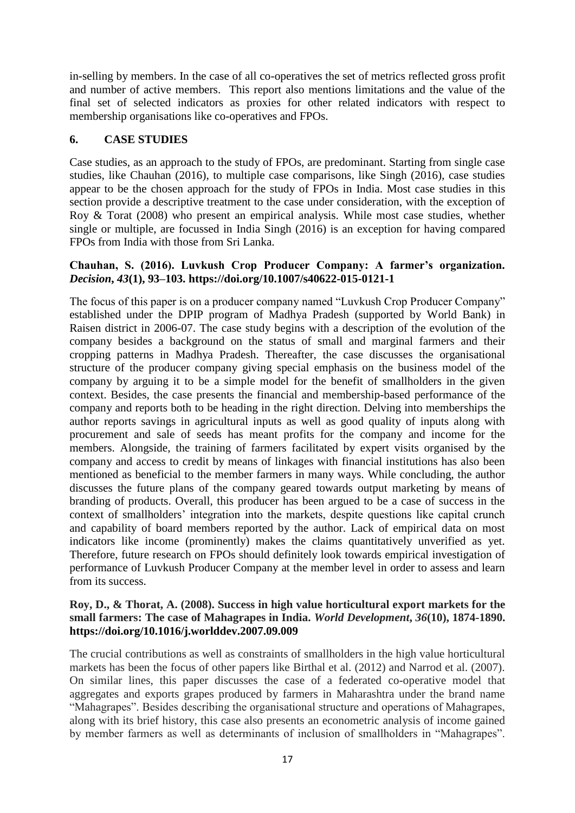in-selling by members. In the case of all co-operatives the set of metrics reflected gross profit and number of active members. This report also mentions limitations and the value of the final set of selected indicators as proxies for other related indicators with respect to membership organisations like co-operatives and FPOs.

#### **6. CASE STUDIES**

Case studies, as an approach to the study of FPOs, are predominant. Starting from single case studies, like Chauhan (2016), to multiple case comparisons, like Singh (2016), case studies appear to be the chosen approach for the study of FPOs in India. Most case studies in this section provide a descriptive treatment to the case under consideration, with the exception of Roy & Torat (2008) who present an empirical analysis. While most case studies, whether single or multiple, are focussed in India Singh (2016) is an exception for having compared FPOs from India with those from Sri Lanka.

#### **Chauhan, S. (2016). Luvkush Crop Producer Company: A farmer's organization.**  *Decision***,** *43***(1), 93–103.<https://doi.org/10.1007/s40622-015-0121-1>**

The focus of this paper is on a producer company named "Luvkush Crop Producer Company" established under the DPIP program of Madhya Pradesh (supported by World Bank) in Raisen district in 2006-07. The case study begins with a description of the evolution of the company besides a background on the status of small and marginal farmers and their cropping patterns in Madhya Pradesh. Thereafter, the case discusses the organisational structure of the producer company giving special emphasis on the business model of the company by arguing it to be a simple model for the benefit of smallholders in the given context. Besides, the case presents the financial and membership-based performance of the company and reports both to be heading in the right direction. Delving into memberships the author reports savings in agricultural inputs as well as good quality of inputs along with procurement and sale of seeds has meant profits for the company and income for the members. Alongside, the training of farmers facilitated by expert visits organised by the company and access to credit by means of linkages with financial institutions has also been mentioned as beneficial to the member farmers in many ways. While concluding, the author discusses the future plans of the company geared towards output marketing by means of branding of products. Overall, this producer has been argued to be a case of success in the context of smallholders' integration into the markets, despite questions like capital crunch and capability of board members reported by the author. Lack of empirical data on most indicators like income (prominently) makes the claims quantitatively unverified as yet. Therefore, future research on FPOs should definitely look towards empirical investigation of performance of Luvkush Producer Company at the member level in order to assess and learn from its success.

#### **Roy, D., & Thorat, A. (2008). Success in high value horticultural export markets for the small farmers: The case of Mahagrapes in India.** *World Development***,** *36***(10), 1874-1890. <https://doi.org/10.1016/j.worlddev.2007.09.009>**

The crucial contributions as well as constraints of smallholders in the high value horticultural markets has been the focus of other papers like Birthal et al. (2012) and Narrod et al. (2007). On similar lines, this paper discusses the case of a federated co-operative model that aggregates and exports grapes produced by farmers in Maharashtra under the brand name "Mahagrapes". Besides describing the organisational structure and operations of Mahagrapes, along with its brief history, this case also presents an econometric analysis of income gained by member farmers as well as determinants of inclusion of smallholders in "Mahagrapes".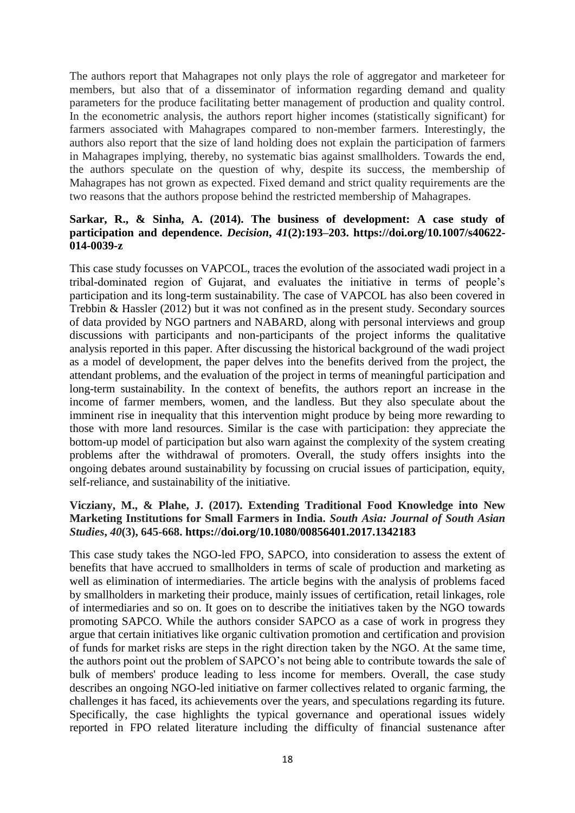The authors report that Mahagrapes not only plays the role of aggregator and marketeer for members, but also that of a disseminator of information regarding demand and quality parameters for the produce facilitating better management of production and quality control. In the econometric analysis, the authors report higher incomes (statistically significant) for farmers associated with Mahagrapes compared to non-member farmers. Interestingly, the authors also report that the size of land holding does not explain the participation of farmers in Mahagrapes implying, thereby, no systematic bias against smallholders. Towards the end, the authors speculate on the question of why, despite its success, the membership of Mahagrapes has not grown as expected. Fixed demand and strict quality requirements are the two reasons that the authors propose behind the restricted membership of Mahagrapes.

### **Sarkar, R., & Sinha, A. (2014). The business of development: A case study of participation and dependence.** *Decision***,** *41***(2):193–203. [https://doi.org/10.1007/s40622-](https://doi.org/10.1007/s40622-014-0039-z) [014-0039-z](https://doi.org/10.1007/s40622-014-0039-z)**

This case study focusses on VAPCOL, traces the evolution of the associated wadi project in a tribal-dominated region of Gujarat, and evaluates the initiative in terms of people's participation and its long-term sustainability. The case of VAPCOL has also been covered in Trebbin & Hassler (2012) but it was not confined as in the present study. Secondary sources of data provided by NGO partners and NABARD, along with personal interviews and group discussions with participants and non-participants of the project informs the qualitative analysis reported in this paper. After discussing the historical background of the wadi project as a model of development, the paper delves into the benefits derived from the project, the attendant problems, and the evaluation of the project in terms of meaningful participation and long-term sustainability. In the context of benefits, the authors report an increase in the income of farmer members, women, and the landless. But they also speculate about the imminent rise in inequality that this intervention might produce by being more rewarding to those with more land resources. Similar is the case with participation: they appreciate the bottom-up model of participation but also warn against the complexity of the system creating problems after the withdrawal of promoters. Overall, the study offers insights into the ongoing debates around sustainability by focussing on crucial issues of participation, equity, self-reliance, and sustainability of the initiative.

#### **Vicziany, M., & Plahe, J. (2017). Extending Traditional Food Knowledge into New Marketing Institutions for Small Farmers in India.** *South Asia: Journal of South Asian Studies***,** *40***(3), 645-668. <https://doi.org/10.1080/00856401.2017.1342183>**

This case study takes the NGO-led FPO, SAPCO, into consideration to assess the extent of benefits that have accrued to smallholders in terms of scale of production and marketing as well as elimination of intermediaries. The article begins with the analysis of problems faced by smallholders in marketing their produce, mainly issues of certification, retail linkages, role of intermediaries and so on. It goes on to describe the initiatives taken by the NGO towards promoting SAPCO. While the authors consider SAPCO as a case of work in progress they argue that certain initiatives like organic cultivation promotion and certification and provision of funds for market risks are steps in the right direction taken by the NGO. At the same time, the authors point out the problem of SAPCO's not being able to contribute towards the sale of bulk of members' produce leading to less income for members. Overall, the case study describes an ongoing NGO-led initiative on farmer collectives related to organic farming, the challenges it has faced, its achievements over the years, and speculations regarding its future. Specifically, the case highlights the typical governance and operational issues widely reported in FPO related literature including the difficulty of financial sustenance after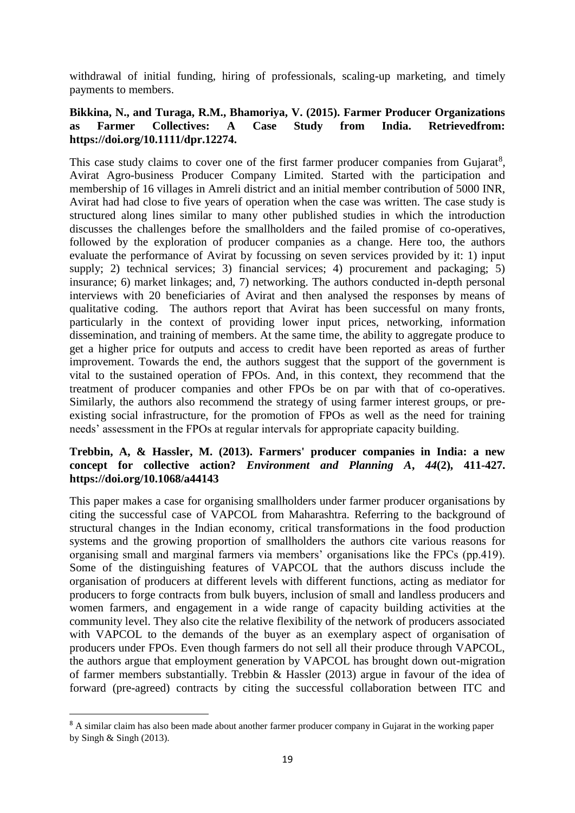withdrawal of initial funding, hiring of professionals, scaling-up marketing, and timely payments to members.

#### **Bikkina, N., and Turaga, R.M., Bhamoriya, V. (2015). Farmer Producer Organizations as Farmer Collectives: A Case Study from India. Retrievedfrom: [https://doi.org/10.1111/dpr.12274.](https://doi.org/10.1111/dpr.12274)**

This case study claims to cover one of the first farmer producer companies from Gujarat<sup>8</sup>, Avirat Agro-business Producer Company Limited. Started with the participation and membership of 16 villages in Amreli district and an initial member contribution of 5000 INR, Avirat had had close to five years of operation when the case was written. The case study is structured along lines similar to many other published studies in which the introduction discusses the challenges before the smallholders and the failed promise of co-operatives, followed by the exploration of producer companies as a change. Here too, the authors evaluate the performance of Avirat by focussing on seven services provided by it: 1) input supply; 2) technical services; 3) financial services; 4) procurement and packaging; 5) insurance; 6) market linkages; and, 7) networking. The authors conducted in-depth personal interviews with 20 beneficiaries of Avirat and then analysed the responses by means of qualitative coding. The authors report that Avirat has been successful on many fronts, particularly in the context of providing lower input prices, networking, information dissemination, and training of members. At the same time, the ability to aggregate produce to get a higher price for outputs and access to credit have been reported as areas of further improvement. Towards the end, the authors suggest that the support of the government is vital to the sustained operation of FPOs. And, in this context, they recommend that the treatment of producer companies and other FPOs be on par with that of co-operatives. Similarly, the authors also recommend the strategy of using farmer interest groups, or preexisting social infrastructure, for the promotion of FPOs as well as the need for training needs' assessment in the FPOs at regular intervals for appropriate capacity building.

#### **Trebbin, A, & Hassler, M. (2013). Farmers' producer companies in India: a new concept for collective action?** *Environment and Planning A***,** *44***(2), 411-427. [https://doi.org/10.1068/a44143](https://doi.org/10.1068%2Fa44143)**

This paper makes a case for organising smallholders under farmer producer organisations by citing the successful case of VAPCOL from Maharashtra. Referring to the background of structural changes in the Indian economy, critical transformations in the food production systems and the growing proportion of smallholders the authors cite various reasons for organising small and marginal farmers via members' organisations like the FPCs (pp.419). Some of the distinguishing features of VAPCOL that the authors discuss include the organisation of producers at different levels with different functions, acting as mediator for producers to forge contracts from bulk buyers, inclusion of small and landless producers and women farmers, and engagement in a wide range of capacity building activities at the community level. They also cite the relative flexibility of the network of producers associated with VAPCOL to the demands of the buyer as an exemplary aspect of organisation of producers under FPOs. Even though farmers do not sell all their produce through VAPCOL, the authors argue that employment generation by VAPCOL has brought down out-migration of farmer members substantially. Trebbin & Hassler (2013) argue in favour of the idea of forward (pre-agreed) contracts by citing the successful collaboration between ITC and

**.** 

<sup>&</sup>lt;sup>8</sup> A similar claim has also been made about another farmer producer company in Gujarat in the working paper by Singh  $&$  Singh (2013).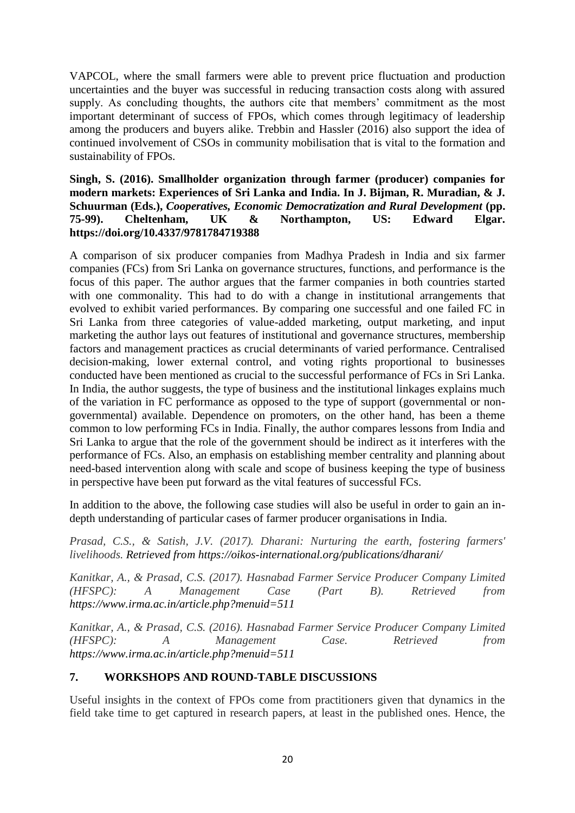VAPCOL, where the small farmers were able to prevent price fluctuation and production uncertainties and the buyer was successful in reducing transaction costs along with assured supply. As concluding thoughts, the authors cite that members' commitment as the most important determinant of success of FPOs, which comes through legitimacy of leadership among the producers and buyers alike. Trebbin and Hassler (2016) also support the idea of continued involvement of CSOs in community mobilisation that is vital to the formation and sustainability of FPOs.

#### **Singh, S. (2016). Smallholder organization through farmer (producer) companies for modern markets: Experiences of Sri Lanka and India. In J. Bijman, R. Muradian, & J. Schuurman (Eds.),** *Cooperatives, Economic Democratization and Rural Development* **(pp. 75-99). Cheltenham, UK & Northampton, US: Edward Elgar. <https://doi.org/10.4337/9781784719388>**

A comparison of six producer companies from Madhya Pradesh in India and six farmer companies (FCs) from Sri Lanka on governance structures, functions, and performance is the focus of this paper. The author argues that the farmer companies in both countries started with one commonality. This had to do with a change in institutional arrangements that evolved to exhibit varied performances. By comparing one successful and one failed FC in Sri Lanka from three categories of value-added marketing, output marketing, and input marketing the author lays out features of institutional and governance structures, membership factors and management practices as crucial determinants of varied performance. Centralised decision-making, lower external control, and voting rights proportional to businesses conducted have been mentioned as crucial to the successful performance of FCs in Sri Lanka. In India, the author suggests, the type of business and the institutional linkages explains much of the variation in FC performance as opposed to the type of support (governmental or nongovernmental) available. Dependence on promoters, on the other hand, has been a theme common to low performing FCs in India. Finally, the author compares lessons from India and Sri Lanka to argue that the role of the government should be indirect as it interferes with the performance of FCs. Also, an emphasis on establishing member centrality and planning about need-based intervention along with scale and scope of business keeping the type of business in perspective have been put forward as the vital features of successful FCs.

In addition to the above, the following case studies will also be useful in order to gain an indepth understanding of particular cases of farmer producer organisations in India.

*Prasad, C.S., & Satish, J.V. (2017). Dharani: Nurturing the earth, fostering farmers' livelihoods. Retrieved from<https://oikos-international.org/publications/dharani/>*

*Kanitkar, A., & Prasad, C.S. (2017). Hasnabad Farmer Service Producer Company Limited (HFSPC): A Management Case (Part B). Retrieved from <https://www.irma.ac.in/article.php?menuid=511>*

*Kanitkar, A., & Prasad, C.S. (2016). Hasnabad Farmer Service Producer Company Limited (HFSPC): A Management Case. Retrieved from <https://www.irma.ac.in/article.php?menuid=511>*

## **7. WORKSHOPS AND ROUND-TABLE DISCUSSIONS**

Useful insights in the context of FPOs come from practitioners given that dynamics in the field take time to get captured in research papers, at least in the published ones. Hence, the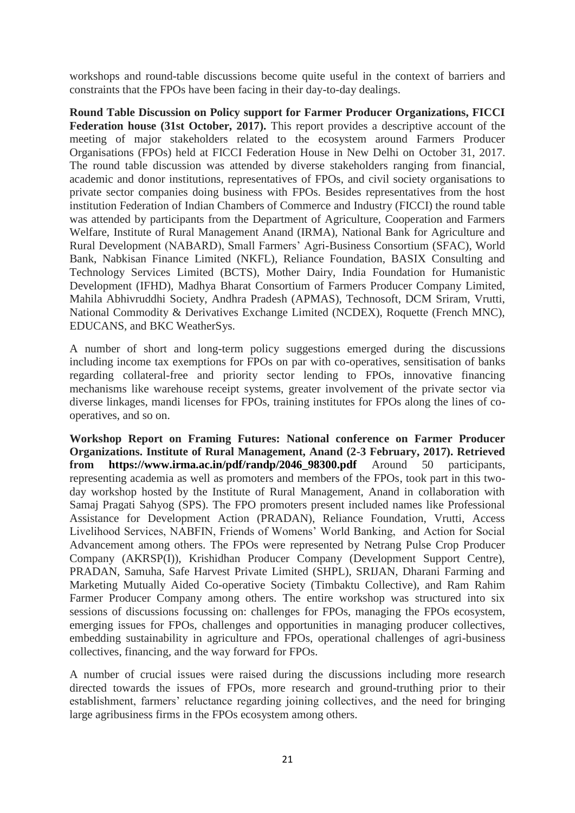workshops and round-table discussions become quite useful in the context of barriers and constraints that the FPOs have been facing in their day-to-day dealings.

**Round Table Discussion on Policy support for Farmer Producer Organizations, FICCI**  Federation house (31st October, 2017). This report provides a descriptive account of the meeting of major stakeholders related to the ecosystem around Farmers Producer Organisations (FPOs) held at FICCI Federation House in New Delhi on October 31, 2017. The round table discussion was attended by diverse stakeholders ranging from financial, academic and donor institutions, representatives of FPOs, and civil society organisations to private sector companies doing business with FPOs. Besides representatives from the host institution Federation of Indian Chambers of Commerce and Industry (FICCI) the round table was attended by participants from the Department of Agriculture, Cooperation and Farmers Welfare, Institute of Rural Management Anand (IRMA), National Bank for Agriculture and Rural Development (NABARD), Small Farmers' Agri-Business Consortium (SFAC), World Bank, Nabkisan Finance Limited (NKFL), Reliance Foundation, BASIX Consulting and Technology Services Limited (BCTS), Mother Dairy, India Foundation for Humanistic Development (IFHD), Madhya Bharat Consortium of Farmers Producer Company Limited, Mahila Abhivruddhi Society, Andhra Pradesh (APMAS), Technosoft, DCM Sriram, Vrutti, National Commodity & Derivatives Exchange Limited (NCDEX), Roquette (French MNC), EDUCANS, and BKC WeatherSys.

A number of short and long-term policy suggestions emerged during the discussions including income tax exemptions for FPOs on par with co-operatives, sensitisation of banks regarding collateral-free and priority sector lending to FPOs, innovative financing mechanisms like warehouse receipt systems, greater involvement of the private sector via diverse linkages, mandi licenses for FPOs, training institutes for FPOs along the lines of cooperatives, and so on.

**Workshop Report on Framing Futures: National conference on Farmer Producer Organizations. Institute of Rural Management, Anand (2-3 February, 2017). Retrieved from [https://www.irma.ac.in/pdf/randp/2046\\_98300.pdf](https://www.irma.ac.in/pdf/randp/2046_98300.pdf)** Around 50 participants, representing academia as well as promoters and members of the FPOs, took part in this twoday workshop hosted by the Institute of Rural Management, Anand in collaboration with Samaj Pragati Sahyog (SPS). The FPO promoters present included names like Professional Assistance for Development Action (PRADAN), Reliance Foundation, Vrutti, Access Livelihood Services, NABFIN, Friends of Womens' World Banking, and Action for Social Advancement among others. The FPOs were represented by Netrang Pulse Crop Producer Company (AKRSP(I)), Krishidhan Producer Company (Development Support Centre), PRADAN, Samuha, Safe Harvest Private Limited (SHPL), SRIJAN, Dharani Farming and Marketing Mutually Aided Co-operative Society (Timbaktu Collective), and Ram Rahim Farmer Producer Company among others. The entire workshop was structured into six sessions of discussions focussing on: challenges for FPOs, managing the FPOs ecosystem, emerging issues for FPOs, challenges and opportunities in managing producer collectives, embedding sustainability in agriculture and FPOs, operational challenges of agri-business collectives, financing, and the way forward for FPOs.

A number of crucial issues were raised during the discussions including more research directed towards the issues of FPOs, more research and ground-truthing prior to their establishment, farmers' reluctance regarding joining collectives, and the need for bringing large agribusiness firms in the FPOs ecosystem among others.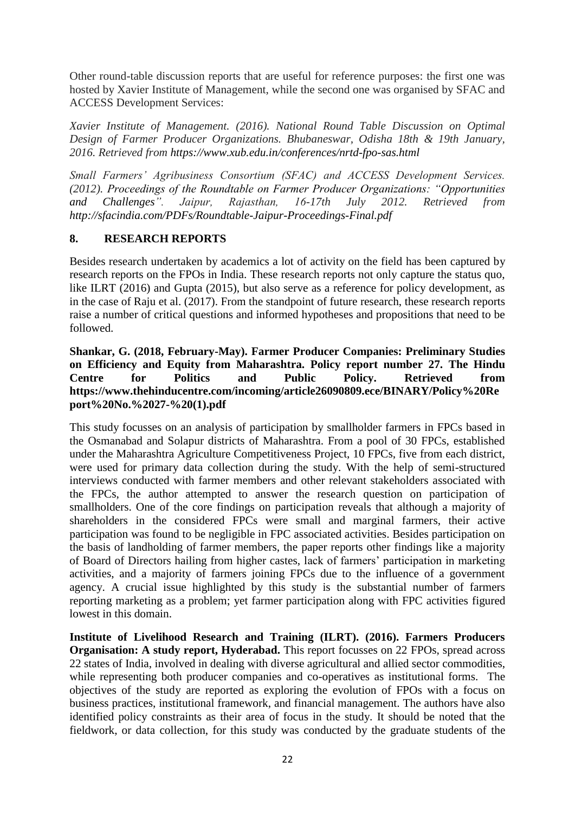Other round-table discussion reports that are useful for reference purposes: the first one was hosted by Xavier Institute of Management, while the second one was organised by SFAC and ACCESS Development Services:

*Xavier Institute of Management. (2016). National Round Table Discussion on Optimal Design of Farmer Producer Organizations. Bhubaneswar, Odisha 18th & 19th January, 2016. Retrieved from <https://www.xub.edu.in/conferences/nrtd-fpo-sas.html>*

*Small Farmers' Agribusiness Consortium (SFAC) and ACCESS Development Services. (2012). Proceedings of the Roundtable on Farmer Producer Organizations: "Opportunities and Challenges". Jaipur, Rajasthan, 16-17th July 2012. Retrieved from <http://sfacindia.com/PDFs/Roundtable-Jaipur-Proceedings-Final.pdf>*

#### **8. RESEARCH REPORTS**

Besides research undertaken by academics a lot of activity on the field has been captured by research reports on the FPOs in India. These research reports not only capture the status quo, like ILRT (2016) and Gupta (2015), but also serve as a reference for policy development, as in the case of Raju et al. (2017). From the standpoint of future research, these research reports raise a number of critical questions and informed hypotheses and propositions that need to be followed.

#### **Shankar, G. (2018, February-May). Farmer Producer Companies: Preliminary Studies on Efficiency and Equity from Maharashtra. Policy report number 27. The Hindu Centre for Politics and Public Policy. Retrieved from [https://www.thehinducentre.com/incoming/article26090809.ece/BINARY/Policy%20Re](https://www.thehinducentre.com/incoming/article26090809.ece/BINARY/Policy%20Report%20No.%2027-%20(1).pdf) [port%20No.%2027-%20\(1\).pdf](https://www.thehinducentre.com/incoming/article26090809.ece/BINARY/Policy%20Report%20No.%2027-%20(1).pdf)**

This study focusses on an analysis of participation by smallholder farmers in FPCs based in the Osmanabad and Solapur districts of Maharashtra. From a pool of 30 FPCs, established under the Maharashtra Agriculture Competitiveness Project, 10 FPCs, five from each district, were used for primary data collection during the study. With the help of semi-structured interviews conducted with farmer members and other relevant stakeholders associated with the FPCs, the author attempted to answer the research question on participation of smallholders. One of the core findings on participation reveals that although a majority of shareholders in the considered FPCs were small and marginal farmers, their active participation was found to be negligible in FPC associated activities. Besides participation on the basis of landholding of farmer members, the paper reports other findings like a majority of Board of Directors hailing from higher castes, lack of farmers' participation in marketing activities, and a majority of farmers joining FPCs due to the influence of a government agency. A crucial issue highlighted by this study is the substantial number of farmers reporting marketing as a problem; yet farmer participation along with FPC activities figured lowest in this domain.

**Institute of Livelihood Research and Training (ILRT). (2016). Farmers Producers Organisation: A study report, Hyderabad.** This report focusses on 22 FPOs, spread across 22 states of India, involved in dealing with diverse agricultural and allied sector commodities, while representing both producer companies and co-operatives as institutional forms. The objectives of the study are reported as exploring the evolution of FPOs with a focus on business practices, institutional framework, and financial management. The authors have also identified policy constraints as their area of focus in the study. It should be noted that the fieldwork, or data collection, for this study was conducted by the graduate students of the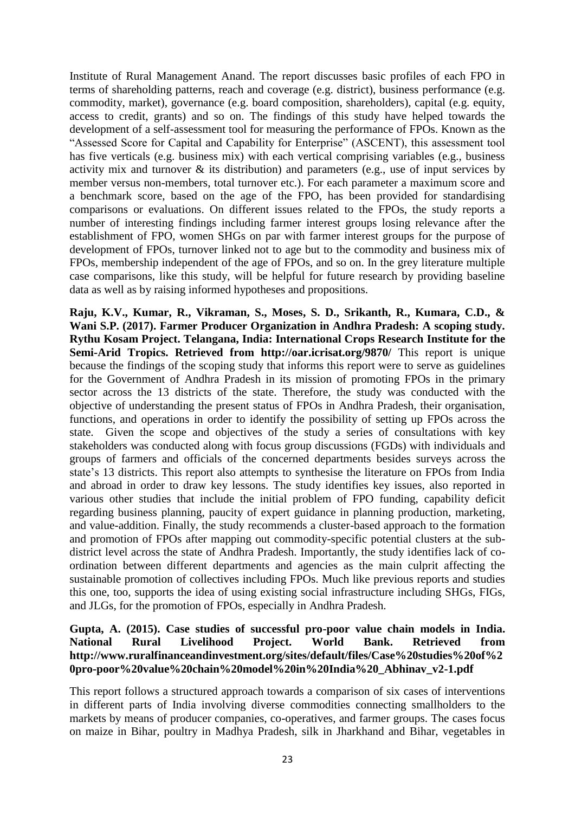Institute of Rural Management Anand. The report discusses basic profiles of each FPO in terms of shareholding patterns, reach and coverage (e.g. district), business performance (e.g. commodity, market), governance (e.g. board composition, shareholders), capital (e.g. equity, access to credit, grants) and so on. The findings of this study have helped towards the development of a self-assessment tool for measuring the performance of FPOs. Known as the "Assessed Score for Capital and Capability for Enterprise" (ASCENT), this assessment tool has five verticals (e.g. business mix) with each vertical comprising variables (e.g., business activity mix and turnover & its distribution) and parameters (e.g., use of input services by member versus non-members, total turnover etc.). For each parameter a maximum score and a benchmark score, based on the age of the FPO, has been provided for standardising comparisons or evaluations. On different issues related to the FPOs, the study reports a number of interesting findings including farmer interest groups losing relevance after the establishment of FPO, women SHGs on par with farmer interest groups for the purpose of development of FPOs, turnover linked not to age but to the commodity and business mix of FPOs, membership independent of the age of FPOs, and so on. In the grey literature multiple case comparisons, like this study, will be helpful for future research by providing baseline data as well as by raising informed hypotheses and propositions.

**Raju, K.V., Kumar, R., Vikraman, S., Moses, S. D., Srikanth, R., Kumara, C.D., & Wani S.P. (2017). Farmer Producer Organization in Andhra Pradesh: A scoping study. Rythu Kosam Project. Telangana, India: International Crops Research Institute for the Semi-Arid Tropics. Retrieved from <http://oar.icrisat.org/9870/>** This report is unique because the findings of the scoping study that informs this report were to serve as guidelines for the Government of Andhra Pradesh in its mission of promoting FPOs in the primary sector across the 13 districts of the state. Therefore, the study was conducted with the objective of understanding the present status of FPOs in Andhra Pradesh, their organisation, functions, and operations in order to identify the possibility of setting up FPOs across the state. Given the scope and objectives of the study a series of consultations with key stakeholders was conducted along with focus group discussions (FGDs) with individuals and groups of farmers and officials of the concerned departments besides surveys across the state's 13 districts. This report also attempts to synthesise the literature on FPOs from India and abroad in order to draw key lessons. The study identifies key issues, also reported in various other studies that include the initial problem of FPO funding, capability deficit regarding business planning, paucity of expert guidance in planning production, marketing, and value-addition. Finally, the study recommends a cluster-based approach to the formation and promotion of FPOs after mapping out commodity-specific potential clusters at the subdistrict level across the state of Andhra Pradesh. Importantly, the study identifies lack of coordination between different departments and agencies as the main culprit affecting the sustainable promotion of collectives including FPOs. Much like previous reports and studies this one, too, supports the idea of using existing social infrastructure including SHGs, FIGs, and JLGs, for the promotion of FPOs, especially in Andhra Pradesh.

#### **Gupta, A. (2015). Case studies of successful pro-poor value chain models in India. National Rural Livelihood Project. World Bank. Retrieved from [http://www.ruralfinanceandinvestment.org/sites/default/files/Case%20studies%20of%2](http://www.ruralfinanceandinvestment.org/sites/default/files/Case%20studies%20of%20pro-poor%20value%20chain%20model%20in%20India%20_Abhinav_v2-1.pdf) [0pro-poor%20value%20chain%20model%20in%20India%20\\_Abhinav\\_v2-1.pdf](http://www.ruralfinanceandinvestment.org/sites/default/files/Case%20studies%20of%20pro-poor%20value%20chain%20model%20in%20India%20_Abhinav_v2-1.pdf)**

This report follows a structured approach towards a comparison of six cases of interventions in different parts of India involving diverse commodities connecting smallholders to the markets by means of producer companies, co-operatives, and farmer groups. The cases focus on maize in Bihar, poultry in Madhya Pradesh, silk in Jharkhand and Bihar, vegetables in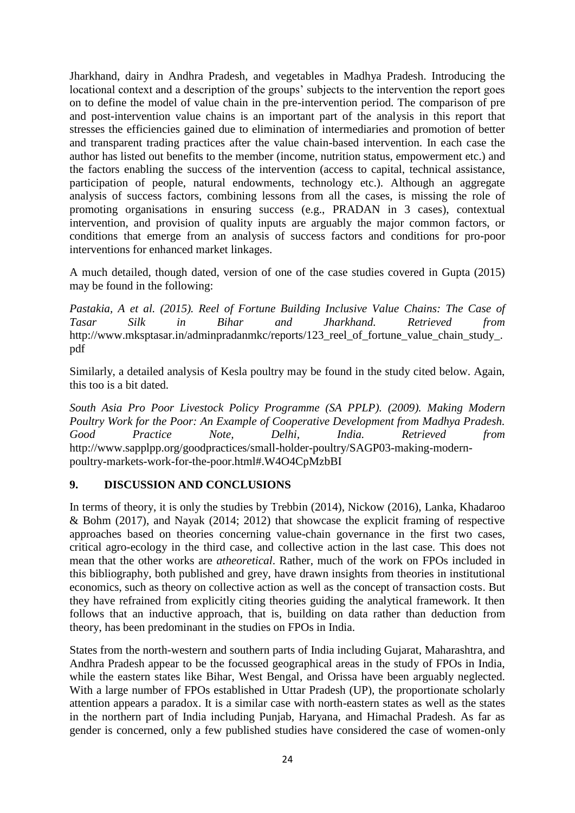Jharkhand, dairy in Andhra Pradesh, and vegetables in Madhya Pradesh. Introducing the locational context and a description of the groups' subjects to the intervention the report goes on to define the model of value chain in the pre-intervention period. The comparison of pre and post-intervention value chains is an important part of the analysis in this report that stresses the efficiencies gained due to elimination of intermediaries and promotion of better and transparent trading practices after the value chain-based intervention. In each case the author has listed out benefits to the member (income, nutrition status, empowerment etc.) and the factors enabling the success of the intervention (access to capital, technical assistance, participation of people, natural endowments, technology etc.). Although an aggregate analysis of success factors, combining lessons from all the cases, is missing the role of promoting organisations in ensuring success (e.g., PRADAN in 3 cases), contextual intervention, and provision of quality inputs are arguably the major common factors, or conditions that emerge from an analysis of success factors and conditions for pro-poor interventions for enhanced market linkages.

A much detailed, though dated, version of one of the case studies covered in Gupta (2015) may be found in the following:

*Pastakia, A et al. (2015). Reel of Fortune Building Inclusive Value Chains: The Case of Tasar Silk in Bihar and Jharkhand. Retrieved from*  [http://www.mksptasar.in/adminpradanmkc/reports/123\\_reel\\_of\\_fortune\\_value\\_chain\\_study\\_.](http://www.mksptasar.in/adminpradanmkc/reports/123_reel_of_fortune_value_chain_study_.pdf) [pdf](http://www.mksptasar.in/adminpradanmkc/reports/123_reel_of_fortune_value_chain_study_.pdf)

Similarly, a detailed analysis of Kesla poultry may be found in the study cited below. Again, this too is a bit dated.

*South Asia Pro Poor Livestock Policy Programme (SA PPLP). (2009). Making Modern Poultry Work for the Poor: An Example of Cooperative Development from Madhya Pradesh. Good Practice Note, Delhi, India. Retrieved from* [http://www.sapplpp.org/goodpractices/small-holder-poultry/SAGP03-making-modern](http://www.sapplpp.org/goodpractices/small-holder-poultry/SAGP03-making-modern-poultry-markets-work-for-the-poor.html#.W4O4CpMzbBI)[poultry-markets-work-for-the-poor.html#.W4O4CpMzbBI](http://www.sapplpp.org/goodpractices/small-holder-poultry/SAGP03-making-modern-poultry-markets-work-for-the-poor.html#.W4O4CpMzbBI)

## **9. DISCUSSION AND CONCLUSIONS**

In terms of theory, it is only the studies by Trebbin (2014), Nickow (2016), Lanka, Khadaroo & Bohm (2017), and Nayak (2014; 2012) that showcase the explicit framing of respective approaches based on theories concerning value-chain governance in the first two cases, critical agro-ecology in the third case, and collective action in the last case. This does not mean that the other works are *atheoretical*. Rather, much of the work on FPOs included in this bibliography, both published and grey, have drawn insights from theories in institutional economics, such as theory on collective action as well as the concept of transaction costs. But they have refrained from explicitly citing theories guiding the analytical framework. It then follows that an inductive approach, that is, building on data rather than deduction from theory, has been predominant in the studies on FPOs in India.

States from the north-western and southern parts of India including Gujarat, Maharashtra, and Andhra Pradesh appear to be the focussed geographical areas in the study of FPOs in India, while the eastern states like Bihar, West Bengal, and Orissa have been arguably neglected. With a large number of FPOs established in Uttar Pradesh (UP), the proportionate scholarly attention appears a paradox. It is a similar case with north-eastern states as well as the states in the northern part of India including Punjab, Haryana, and Himachal Pradesh. As far as gender is concerned, only a few published studies have considered the case of women-only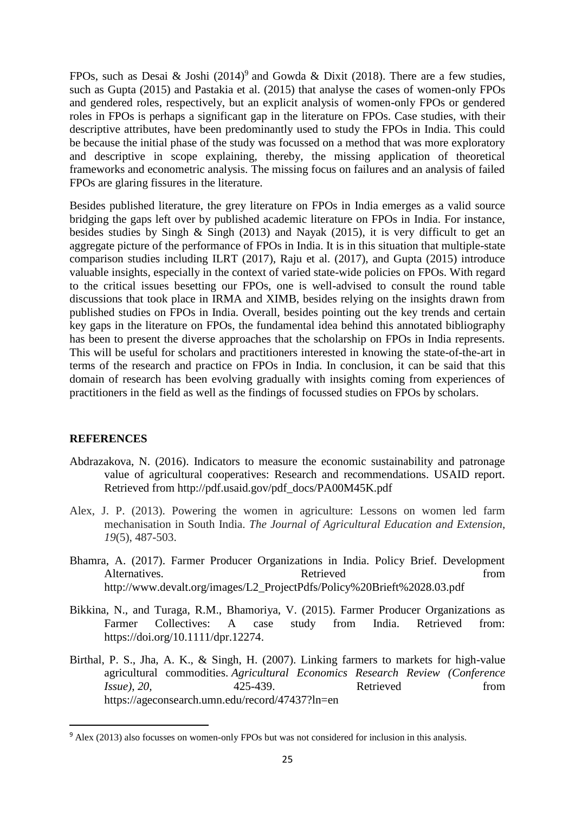FPOs, such as Desai & Joshi  $(2014)^9$  and Gowda & Dixit (2018). There are a few studies, such as Gupta (2015) and Pastakia et al. (2015) that analyse the cases of women-only FPOs and gendered roles, respectively, but an explicit analysis of women-only FPOs or gendered roles in FPOs is perhaps a significant gap in the literature on FPOs. Case studies, with their descriptive attributes, have been predominantly used to study the FPOs in India. This could be because the initial phase of the study was focussed on a method that was more exploratory and descriptive in scope explaining, thereby, the missing application of theoretical frameworks and econometric analysis. The missing focus on failures and an analysis of failed FPOs are glaring fissures in the literature.

Besides published literature, the grey literature on FPOs in India emerges as a valid source bridging the gaps left over by published academic literature on FPOs in India. For instance, besides studies by Singh & Singh (2013) and Nayak (2015), it is very difficult to get an aggregate picture of the performance of FPOs in India. It is in this situation that multiple-state comparison studies including ILRT (2017), Raju et al. (2017), and Gupta (2015) introduce valuable insights, especially in the context of varied state-wide policies on FPOs. With regard to the critical issues besetting our FPOs, one is well-advised to consult the round table discussions that took place in IRMA and XIMB, besides relying on the insights drawn from published studies on FPOs in India. Overall, besides pointing out the key trends and certain key gaps in the literature on FPOs, the fundamental idea behind this annotated bibliography has been to present the diverse approaches that the scholarship on FPOs in India represents. This will be useful for scholars and practitioners interested in knowing the state-of-the-art in terms of the research and practice on FPOs in India. In conclusion, it can be said that this domain of research has been evolving gradually with insights coming from experiences of practitioners in the field as well as the findings of focussed studies on FPOs by scholars.

## **REFERENCES**

 $\overline{\phantom{a}}$ 

- Abdrazakova, N. (2016). Indicators to measure the economic sustainability and patronage value of agricultural cooperatives: Research and recommendations. USAID report. Retrieved from [http://pdf.usaid.gov/pdf\\_docs/PA00M45K.pdf](http://pdf.usaid.gov/pdf_docs/PA00M45K.pdf)
- Alex, J. P. (2013). Powering the women in agriculture: Lessons on women led farm mechanisation in South India. *The Journal of Agricultural Education and Extension*, *19*(5), 487-503.
- Bhamra, A. (2017). Farmer Producer Organizations in India. Policy Brief. Development Alternatives. Retrieved from Retrieved from the state of the state of the state of the state of the state of the state of the state of the state of the state of the state of the state of the state of the state of the state [http://www.devalt.org/images/L2\\_ProjectPdfs/Policy%20Brieft%2028.03.pdf](http://www.devalt.org/images/L2_ProjectPdfs/Policy%20Brieft%2028.03.pdf)
- Bikkina, N., and Turaga, R.M., Bhamoriya, V. (2015). Farmer Producer Organizations as Farmer Collectives: A case study from India. Retrieved from: [https://doi.org/10.1111/dpr.12274.](https://doi.org/10.1111/dpr.12274)
- Birthal, P. S., Jha, A. K., & Singh, H. (2007). Linking farmers to markets for high-value agricultural commodities. *Agricultural Economics Research Review (Conference Issue*), *20*, *425-439*. Retrieved from <https://ageconsearch.umn.edu/record/47437?ln=en>

<sup>9</sup> Alex (2013) also focusses on women-only FPOs but was not considered for inclusion in this analysis.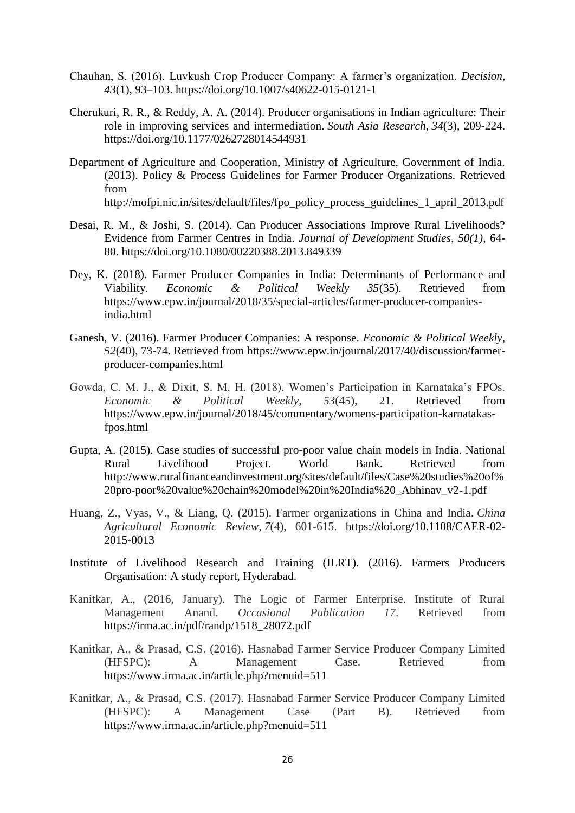- Chauhan, S. (2016). Luvkush Crop Producer Company: A farmer's organization. *Decision*, *43*(1), 93–103.<https://doi.org/10.1007/s40622-015-0121-1>
- Cherukuri, R. R., & Reddy, A. A. (2014). Producer organisations in Indian agriculture: Their role in improving services and intermediation. *South Asia Research*, *34*(3), 209-224. [https://doi.org/10.1177/0262728014544931](https://doi.org/10.1177%2F0262728014544931)
- Department of Agriculture and Cooperation, Ministry of Agriculture, Government of India. (2013). Policy & Process Guidelines for Farmer Producer Organizations. Retrieved from [http://mofpi.nic.in/sites/default/files/fpo\\_policy\\_process\\_guidelines\\_1\\_april\\_2013.pdf](http://mofpi.nic.in/sites/default/files/fpo_policy_process_guidelines_1_april_2013.pdf)
- Desai, R. M., & Joshi, S. (2014). Can Producer Associations Improve Rural Livelihoods? Evidence from Farmer Centres in India. *Journal of Development Studies*, *50(1)*, 64- 80.<https://doi.org/10.1080/00220388.2013.849339>
- Dey, K. (2018). Farmer Producer Companies in India: Determinants of Performance and Viability. *Economic & Political Weekly 35*(35). Retrieved from [https://www.epw.in/journal/2018/35/special-articles/farmer-producer-companies](https://www.epw.in/journal/2018/35/special-articles/farmer-producer-companies-india.html)[india.html](https://www.epw.in/journal/2018/35/special-articles/farmer-producer-companies-india.html)
- Ganesh, V. (2016). Farmer Producer Companies: A response. *Economic & Political Weekly*, *52*(40), 73-74. Retrieved from [https://www.epw.in/journal/2017/40/discussion/farmer](https://www.epw.in/journal/2017/40/discussion/farmer-producer-companies.html)[producer-companies.html](https://www.epw.in/journal/2017/40/discussion/farmer-producer-companies.html)
- Gowda, C. M. J., & Dixit, S. M. H. (2018). Women's Participation in Karnataka's FPOs. *Economic & Political Weekly*, *53*(45), 21. Retrieved from [https://www.epw.in/journal/2018/45/commentary/womens-participation-karnatakas](https://www.epw.in/journal/2018/45/commentary/womens-participation-karnatakas-fpos.html)[fpos.html](https://www.epw.in/journal/2018/45/commentary/womens-participation-karnatakas-fpos.html)
- Gupta, A. (2015). Case studies of successful pro-poor value chain models in India. National Rural Livelihood Project. World Bank. Retrieved from [http://www.ruralfinanceandinvestment.org/sites/default/files/Case%20studies%20of%](http://www.ruralfinanceandinvestment.org/sites/default/files/Case%20studies%20of%20pro-poor%20value%20chain%20model%20in%20India%20_Abhinav_v2-1.pdf) [20pro-poor%20value%20chain%20model%20in%20India%20\\_Abhinav\\_v2-1.pdf](http://www.ruralfinanceandinvestment.org/sites/default/files/Case%20studies%20of%20pro-poor%20value%20chain%20model%20in%20India%20_Abhinav_v2-1.pdf)
- Huang, Z., Vyas, V., & Liang, Q. (2015). Farmer organizations in China and India. *China Agricultural Economic Review*, *7*(4), 601-615. [https://doi.org/10.1108/CAER-02-](https://doi.org/10.1108/CAER-02-2015-0013) [2015-0013](https://doi.org/10.1108/CAER-02-2015-0013)
- Institute of Livelihood Research and Training (ILRT). (2016). Farmers Producers Organisation: A study report, Hyderabad.
- Kanitkar, A., (2016, January). The Logic of Farmer Enterprise. Institute of Rural Management Anand. *Occasional Publication 17*. Retrieved from [https://irma.ac.in/pdf/randp/1518\\_28072.pdf](https://irma.ac.in/pdf/randp/1518_28072.pdf)
- Kanitkar, A., & Prasad, C.S. (2016). Hasnabad Farmer Service Producer Company Limited (HFSPC): A Management Case. Retrieved from <https://www.irma.ac.in/article.php?menuid=511>
- Kanitkar, A., & Prasad, C.S. (2017). Hasnabad Farmer Service Producer Company Limited (HFSPC): A Management Case (Part B). Retrieved from <https://www.irma.ac.in/article.php?menuid=511>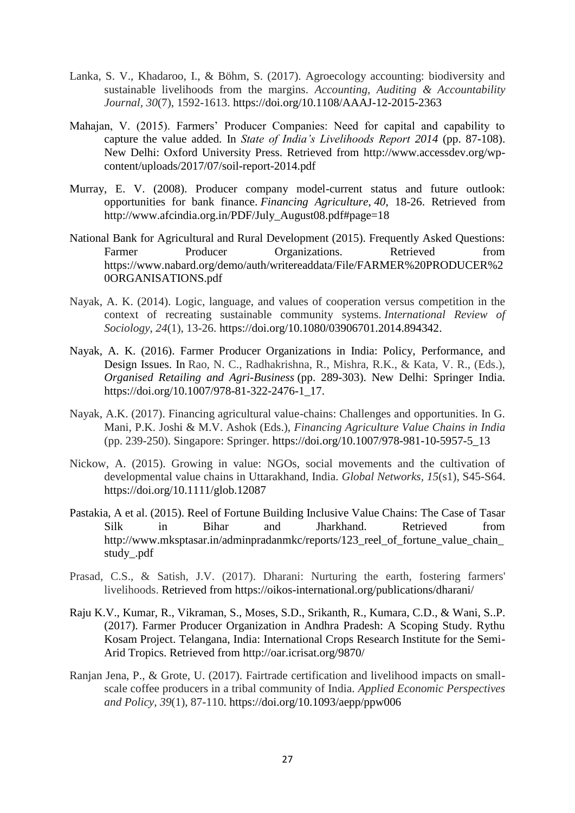- Lanka, S. V., Khadaroo, I., & Böhm, S. (2017). Agroecology accounting: biodiversity and sustainable livelihoods from the margins. *Accounting, Auditing & Accountability Journal, 30*(7), 1592-1613. <https://doi.org/10.1108/AAAJ-12-2015-2363>
- Mahajan, V. (2015). Farmers' Producer Companies: Need for capital and capability to capture the value added. In *State of India's Livelihoods Report 2014* (pp. 87-108). New Delhi: Oxford University Press. Retrieved from [http://www.accessdev.org/wp](http://www.accessdev.org/wp-content/uploads/2017/07/soil-report-2014.pdf)[content/uploads/2017/07/soil-report-2014.pdf](http://www.accessdev.org/wp-content/uploads/2017/07/soil-report-2014.pdf)
- Murray, E. V. (2008). Producer company model-current status and future outlook: opportunities for bank finance. *Financing Agriculture*, *40*, 18-26. Retrieved from [http://www.afcindia.org.in/PDF/July\\_August08.pdf#page=18](http://www.afcindia.org.in/PDF/July_August08.pdf#page=18)
- National Bank for Agricultural and Rural Development (2015). Frequently Asked Questions: Farmer Producer Organizations. Retrieved from [https://www.nabard.org/demo/auth/writereaddata/File/FARMER%20PRODUCER%2](https://www.nabard.org/demo/auth/writereaddata/File/FARMER%20PRODUCER%20ORGANISATIONS.pdf) [0ORGANISATIONS.pdf](https://www.nabard.org/demo/auth/writereaddata/File/FARMER%20PRODUCER%20ORGANISATIONS.pdf)
- Nayak, A. K. (2014). Logic, language, and values of cooperation versus competition in the context of recreating sustainable community systems. *International Review of Sociology*, *24*(1), 13-26. [https://doi.org/10.1080/03906701.2014.894342.](https://doi.org/10.1080/03906701.2014.894342)
- Nayak, A. K. (2016). Farmer Producer Organizations in India: Policy, Performance, and Design Issues. In Rao, N. C., Radhakrishna, R., Mishra, R.K., & Kata, V. R., (Eds.), *Organised Retailing and Agri-Business* (pp. 289-303). New Delhi: Springer India. [https://doi.org/10.1007/978-81-322-2476-1\\_17.](https://doi.org/10.1007/978-81-322-2476-1_17)
- Nayak, A.K. (2017). Financing agricultural value-chains: Challenges and opportunities. In G. Mani, P.K. Joshi & M.V. Ashok (Eds.), *Financing Agriculture Value Chains in India* (pp. 239-250). Singapore: Springer. [https://doi.org/10.1007/978-981-10-5957-5\\_13](https://doi.org/10.1007/978-981-10-5957-5_13)
- Nickow, A. (2015). Growing in value: NGOs, social movements and the cultivation of developmental value chains in Uttarakhand, India. *Global Networks, 15*(s1), S45-S64. <https://doi.org/10.1111/glob.12087>
- Pastakia, A et al. (2015). Reel of Fortune Building Inclusive Value Chains: The Case of Tasar Silk in Bihar and Jharkhand. Retrieved from [http://www.mksptasar.in/adminpradanmkc/reports/123\\_reel\\_of\\_fortune\\_value\\_chain\\_](http://www.mksptasar.in/adminpradanmkc/reports/123_reel_of_fortune_value_chain_study_.pdf) [study\\_.pdf](http://www.mksptasar.in/adminpradanmkc/reports/123_reel_of_fortune_value_chain_study_.pdf)
- Prasad, C.S., & Satish, J.V. (2017). Dharani: Nurturing the earth, fostering farmers' livelihoods. Retrieved from<https://oikos-international.org/publications/dharani/>
- Raju K.V., Kumar, R., Vikraman, S., Moses, S.D., Srikanth, R., Kumara, C.D., & Wani, S..P. (2017). Farmer Producer Organization in Andhra Pradesh: A Scoping Study. Rythu Kosam Project. Telangana, India: International Crops Research Institute for the Semi-Arid Tropics. Retrieved from<http://oar.icrisat.org/9870/>
- Ranjan Jena, P., & Grote, U. (2017). Fairtrade certification and livelihood impacts on smallscale coffee producers in a tribal community of India. *Applied Economic Perspectives and Policy*, *39*(1), 87-110.<https://doi.org/10.1093/aepp/ppw006>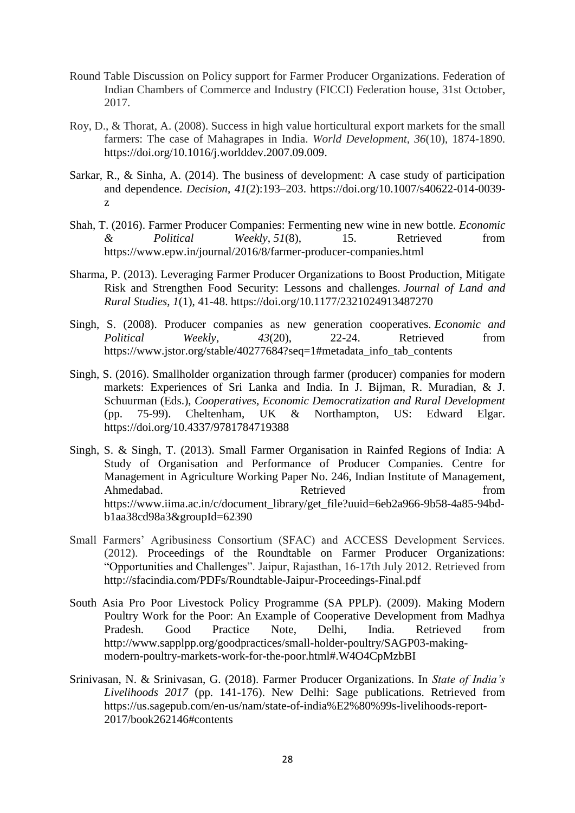- Round Table Discussion on Policy support for Farmer Producer Organizations. Federation of Indian Chambers of Commerce and Industry (FICCI) Federation house, 31st October, 2017.
- Roy, D., & Thorat, A. (2008). Success in high value horticultural export markets for the small farmers: The case of Mahagrapes in India. *World Development*, *36*(10), 1874-1890. [https://doi.org/10.1016/j.worlddev.2007.09.009.](https://doi.org/10.1016/j.worlddev.2007.09.009)
- Sarkar, R., & Sinha, A. (2014). The business of development: A case study of participation and dependence. *Decision*, *41*(2):193–203. [https://doi.org/10.1007/s40622-014-0039](https://doi.org/10.1007/s40622-014-0039-z) [z](https://doi.org/10.1007/s40622-014-0039-z)
- Shah, T. (2016). Farmer Producer Companies: Fermenting new wine in new bottle. *Economic & Political Weekly*, *51*(8), 15. Retrieved from <https://www.epw.in/journal/2016/8/farmer-producer-companies.html>
- Sharma, P. (2013). Leveraging Farmer Producer Organizations to Boost Production, Mitigate Risk and Strengthen Food Security: Lessons and challenges. *Journal of Land and Rural Studies*, *1*(1), 41-48. [https://doi.org/10.1177/2321024913487270](https://doi.org/10.1177%2F2321024913487270)
- Singh, S. (2008). Producer companies as new generation cooperatives. *Economic and Political Weekly*, *43*(20), 22-24. Retrieved from [https://www.jstor.org/stable/40277684?seq=1#metadata\\_info\\_tab\\_contents](https://www.jstor.org/stable/40277684?seq=1#metadata_info_tab_contents)
- Singh, S. (2016). Smallholder organization through farmer (producer) companies for modern markets: Experiences of Sri Lanka and India. In J. Bijman, R. Muradian, & J. Schuurman (Eds.), *Cooperatives, Economic Democratization and Rural Development* (pp. 75-99). Cheltenham, UK & Northampton, US: Edward Elgar. <https://doi.org/10.4337/9781784719388>
- Singh, S. & Singh, T. (2013). Small Farmer Organisation in Rainfed Regions of India: A Study of Organisation and Performance of Producer Companies. Centre for Management in Agriculture Working Paper No. 246, Indian Institute of Management, Ahmedabad. Retrieved from [https://www.iima.ac.in/c/document\\_library/get\\_file?uuid=6eb2a966-9b58-4a85-94bd](https://www.iima.ac.in/c/document_library/get_file?uuid=6eb2a966-9b58-4a85-94bd-b1aa38cd98a3&groupId=62390)[b1aa38cd98a3&groupId=62390](https://www.iima.ac.in/c/document_library/get_file?uuid=6eb2a966-9b58-4a85-94bd-b1aa38cd98a3&groupId=62390)
- Small Farmers' Agribusiness Consortium (SFAC) and ACCESS Development Services. (2012). Proceedings of the Roundtable on Farmer Producer Organizations: "Opportunities and Challenges". Jaipur, Rajasthan, 16-17th July 2012. Retrieved from <http://sfacindia.com/PDFs/Roundtable-Jaipur-Proceedings-Final.pdf>
- South Asia Pro Poor Livestock Policy Programme (SA PPLP). (2009). Making Modern Poultry Work for the Poor: An Example of Cooperative Development from Madhya Pradesh. Good Practice Note, Delhi, India. Retrieved from [http://www.sapplpp.org/goodpractices/small-holder-poultry/SAGP03-making](http://www.sapplpp.org/goodpractices/small-holder-poultry/SAGP03-making-modern-poultry-markets-work-for-the-poor.html#.W4O4CpMzbBI)[modern-poultry-markets-work-for-the-poor.html#.W4O4CpMzbBI](http://www.sapplpp.org/goodpractices/small-holder-poultry/SAGP03-making-modern-poultry-markets-work-for-the-poor.html#.W4O4CpMzbBI)
- Srinivasan, N. & Srinivasan, G. (2018). Farmer Producer Organizations. In *State of India's Livelihoods 2017* (pp. 141-176). New Delhi: Sage publications. Retrieved from [https://us.sagepub.com/en-us/nam/state-of-india%E2%80%99s-livelihoods-report-](https://us.sagepub.com/en-us/nam/state-of-india%E2%80%99s-livelihoods-report-2017/book262146#contents)[2017/book262146#contents](https://us.sagepub.com/en-us/nam/state-of-india%E2%80%99s-livelihoods-report-2017/book262146#contents)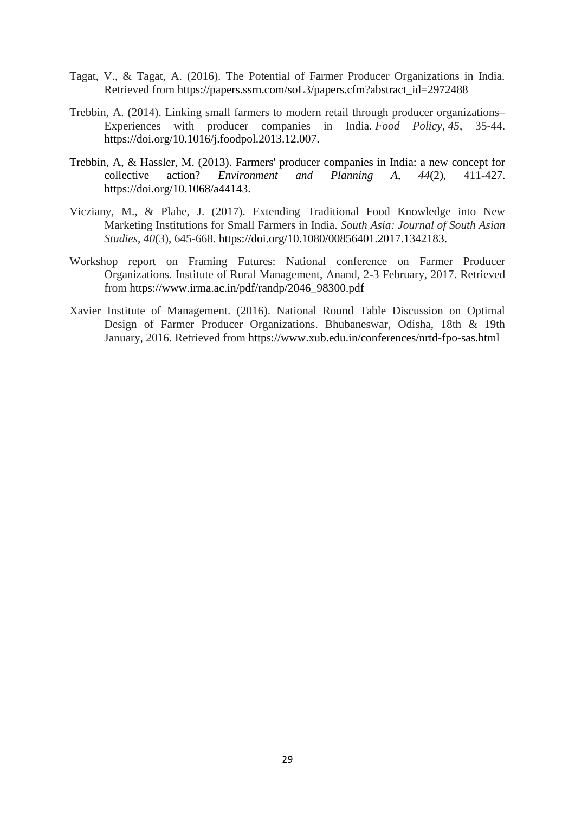- Tagat, V., & Tagat, A. (2016). The Potential of Farmer Producer Organizations in India. Retrieved from [https://papers.ssrn.com/soL3/papers.cfm?abstract\\_id=2972488](https://papers.ssrn.com/soL3/papers.cfm?abstract_id=2972488)
- Trebbin, A. (2014). Linking small farmers to modern retail through producer organizations– Experiences with producer companies in India. *Food Policy*, *45*, 35-44. [https://doi.org/10.1016/j.foodpol.2013.12.007.](https://doi.org/10.1016/j.foodpol.2013.12.007)
- Trebbin, A, & Hassler, M. (2013). Farmers' producer companies in India: a new concept for collective action? *Environment and Planning A*, *44*(2), 411-427. [https://doi.org/10.1068/a44143.](https://doi.org/10.1068%2Fa44143)
- Vicziany, M., & Plahe, J. (2017). Extending Traditional Food Knowledge into New Marketing Institutions for Small Farmers in India. *South Asia: Journal of South Asian Studies*, *40*(3), 645-668. [https://doi.org/10.1080/00856401.2017.1342183.](https://doi.org/10.1080/00856401.2017.1342183)
- Workshop report on Framing Futures: National conference on Farmer Producer Organizations. Institute of Rural Management, Anand, 2-3 February, 2017. Retrieved from [https://www.irma.ac.in/pdf/randp/2046\\_98300.pdf](https://www.irma.ac.in/pdf/randp/2046_98300.pdf)
- Xavier Institute of Management. (2016). National Round Table Discussion on Optimal Design of Farmer Producer Organizations. Bhubaneswar, Odisha, 18th & 19th January, 2016. Retrieved from <https://www.xub.edu.in/conferences/nrtd-fpo-sas.html>